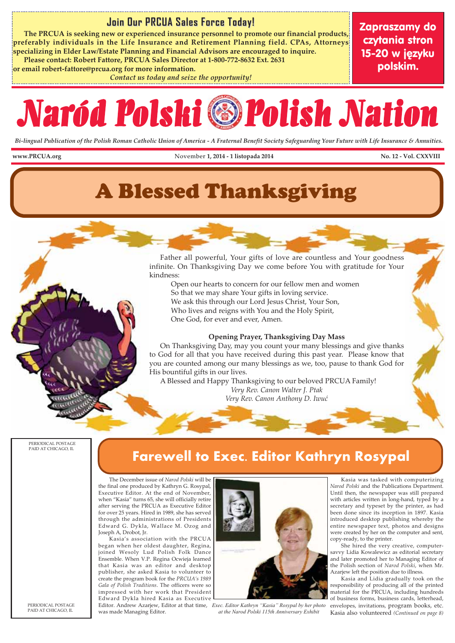#### **Join Our PRCUA Sales Force Today! Join Our PRCUA Sales Force Today!**

 **The PRCUA is seeking new or experienced insurance personnel to promote our financial products, preferably individuals in the Life Insurance and Retirement Planning field. CPAs, Attorneys specializing in Elder Law/Estate Planning and Financial Advisors are encouraged to inquire. Please contact: Robert Fattore, PRCUA Sales Director at 1-800-772-8632 Ext. 2631** 

**or email robert-fattore@prcua.org for more information.** 

*Contact us today and seize the opportunity!*

Zapraszamy do czytania stron 15-20 w języku polskim.

# Naród Polski Polish Nation

*Bi-lingual Publication of the Polish Roman Catholic Union of America - A Fraternal Benefit Society Safeguarding Your Future with Life Insurance & Annuities.*

www.PRCUA.org November 1, 2014 - 1 listopada 2014 November 1, 2014 - 1 listopada 2014

# A Blessed Thanksgiving

 Father all powerful, Your gifts of love are countless and Your goodness infinite. On Thanksgiving Day we come before You with gratitude for Your kindness:

 Open our hearts to concern for our fellow men and women So that we may share Your gifts in loving service. We ask this through our Lord Jesus Christ, Your Son, Who lives and reigns with You and the Holy Spirit, One God, for ever and ever, Amen.

#### **Opening Prayer, Thanksgiving Day Mass**

 On Thanksgiving Day, may you count your many blessings and give thanks to God for all that you have received during this past year. Please know that you are counted among our many blessings as we, too, pause to thank God for His bountiful gifts in our lives.

 A Blessed and Happy Thanksgiving to our beloved PRCUA Family! *Very Rev. Canon Walter J. Ptak Very Rev. Canon Anthony D. Iwuć*

PERIODICAL POSTAGE PAID AT CHICAGO, IL

## **Farewell to Exec. Editor Kathryn Rosypal**

The December issue of *Narod Polski* will be the final one produced by Kathryn G. Rosypal, Executive Editor. At the end of November, when "Kasia" turns 65, she will officially retire after serving the PRCUA as Executive Editor for over 25 years. Hired in 1989, she has served through the administrations of Presidents Edward G. Dykla, Wallace M. Ozog and Joseph A, Drobot, Jr.

Kasia's association with the PRCUA began when her oldest daughter, Regina, joined Wesoly Lud Polish Folk Dance Ensemble. When V.P. Regina Ocwieja learned that Kasia was an editor and desktop publisher, she asked Kasia to volunteer to create the program book for the *PRCUA's 1989 Gala of Polish Traditions*. The officers were so impressed with her work that President Edward Dykla hired Kasia as Executive

was made Managing Editor.



Editor. Andrew Azarjew, Editor at that time, *Exec. Editor Kathryn "Kasia" Rosypal by her photo at the Narod Polski 115th Anniversary Exhibit* 

Kasia was tasked with computerizing *Narod Polski* and the Publications Department. Until then, the newspaper was still prepared with articles written in long-hand, typed by a secretary and typeset by the printer, as had been done since its inception in 1897. Kasia introduced desktop publishing whereby the entire newspaper text, photos and designs were created by her on the computer and sent, copy-ready, to the printer.

She hired the very creative, computersavvy Lidia Kowalewicz as editorial secretary and later promoted her to Managing Editor of the Polish section of *Narod Polski*, when Mr. Azarjew left the position due to illness.

Kasia and Lidia gradually took on the responsibility of producing all of the printed material for the PRCUA, including hundreds of business forms, business cards, letterhead, envelopes, invitations, program books, etc. Kasia also volunteered *(Continued on page 8)*

PERIODICAL POSTAGE PAID AT CHICAGO, IL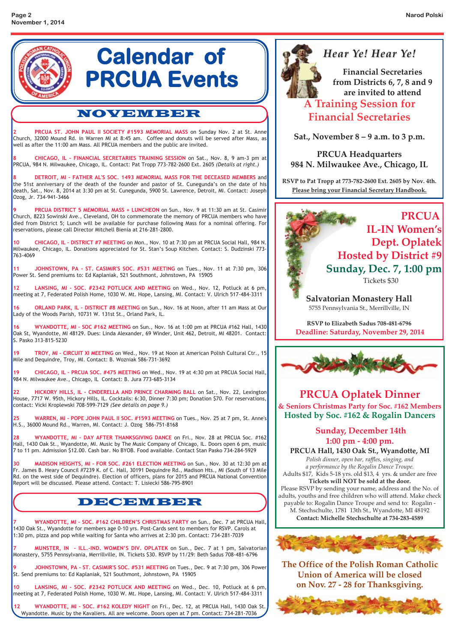

**8 DETROIT, MI - FATHER AL'S SOC. 1493 MEMORIAL MASS FOR THE DECEASED MEMBERS** and the 51st anniversary of the death of the founder and pastor of St. Cunegunda's on the date of his death, Sat., Nov. 8, 2014 at 3:30 pm at St. Cunegunda, 5900 St. Lawrence, Detroit, MI. Contact: Joseph Ozog, Jr. 734-941-3466

**9 PRCUA DISTRICT 5 MEMORIAL MASS + LUNCHEON** on Sun., Nov. 9 at 11:30 am at St. Casimir Church, 8223 Sowinski Ave., Cleveland, OH to commemorate the memory of PRCUA members who have died from District 5; Lunch will be available for purchase following Mass for a nominal offering. For reservations, please call Director Mitchell Bienia at 216-281-2800.

**10 CHICAGO, IL – DISTRICT #7 MEETING** on Mon., Nov. 10 at 7:30 pm at PRCUA Social Hall, 984 N. Milwaukee, Chicago, IL. Donations appreciated for St. Stan's Soup Kitchen. Contact: S. Dudzinski 773- 763-4069

**11 JOHNSTOWN, PA - ST. CASIMIR'S SOC. #531 MEETING** on Tues., Nov. 11 at 7:30 pm, 306 Power St. Send premiums to: Ed Kaplaniak, 521 Southmont, Johnstown, PA 15905

**12 LANSING, MI - SOC. #2342 POTLUCK AND MEETING** on Wed., Nov. 12, Potluck at 6 pm, meeting at 7, Federated Polish Home, 1030 W. Mt. Hope, Lansing, MI. Contact: V. Ulrich 517-484-3311

**16 ORLAND PARK, IL – DISTRICT #8 MEETING** on Sun., Nov. 16 at Noon, after 11 am Mass at Our Lady of the Woods Parish, 10731 W. 131st St., Orland Park, IL.

**16 WYANDOTTE, MI – SOC #162 MEETING** on Sun., Nov. 16 at 1:00 pm at PRCUA #162 Hall, 1430 Oak St, Wyandotte, MI 48129. Dues: Linda Alexander, 69 Winder, Unit 462, Detroit, MI 48201. Contact: S. Pasko 313-815-5230

**19 TROY, MI – CIRCUIT XI MEETING** on Wed., Nov. 19 at Noon at American Polish Cultural Ctr., 15 Mile and Dequindre, Troy, MI. Contact: B. Wozniak 586-731-3692

**19 CHICAGO, IL – PRCUA SOC. #475 MEETING** on Wed., Nov. 19 at 4:30 pm at PRCUA Social Hall, 984 N. Milwaukee Ave., Chicago, IL Contact: B. Jura 773-685-3134

**22 HICKORY HILLS, IL - CINDERELLA AND PRINCE CHARMING BALL** on Sat., Nov. 22, Lexington House, 7717 W. 95th, Hickory Hills, IL. Cocktails: 6:30, Dinner 7:30 pm; Donation \$70. For reservations, contact: Vicki Kroplewski 708-599-7129 *(See details on page 9.)*

**25 WARREN, MI - POPE JOHN PAUL II SOC. #1593 MEETING** on Tues., Nov. 25 at 7 pm, St. Anne's H.S., 36000 Mound Rd., Warren, MI. Contact: J. Ozog 586-751-8168

**28 WYANDOTTE, MI - DAY AFTER THANKSGIVING DANCE** on Fri., Nov. 28 at PRCUA Soc. #162 Hall, 1430 Oak St., Wyandotte, MI. Music by The Music Company of Chicago, IL. Doors open 6 pm, music 7 to 11 pm. Admission \$12.00. Cash bar. No BYOB. Food available. Contact Stan Pasko 734-284-5929

**30 MADISON HEIGHTS, MI - FOR SOC. #261 ELECTION MEETING** on Sun., Nov. 30 at 12:30 pm at Fr. James B. Heary Council #7239 K. of C. Hall, 30191 Dequindre Rd., Madison Hts., MI (South of 13 Mile Rd. on the west side of Dequindre). Election of officers, plans for 2015 and PRCUA National Convention Report will be discussed. Please attend. Contact: T. Lisiecki 586-795-8901

#### DECEMBER

**7 WYANDOTTE, MI - SOC. #162 CHILDREN'S CHRISTMAS PARTY** on Sun., Dec. 7 at PRCUA Hall, 1430 Oak St., Wyandotte for members age 0-10 yrs. Post-Cards sent to members for RSVP. Carols at 1:30 pm, pizza and pop while waiting for Santa who arrives at 2:30 pm. Contact: 734-281-7039

**7 MUNSTER, IN - ILL.-IND. WOMEN'S DIV. OPLATEK** on Sun., Dec. 7 at 1 pm, Salvatorian Monastery, 5755 Pennsylvania, Merrillville, IN. Tickets \$30. RSVP by 11/29: Beth Sadus 708-481-6796

**9 JOHNSTOWN, PA - ST. CASIMIR'S SOC. #531 MEETING** on Tues., Dec. 9 at 7:30 pm, 306 Power St. Send premiums to: Ed Kaplaniak, 521 Southmont, Johnstown, PA 15905

**10 LANSING, MI - SOC. #2342 POTLUCK AND MEETING** on Wed., Dec. 10, Potluck at 6 pm, meeting at 7, Federated Polish Home, 1030 W. Mt. Hope, Lansing, MI. Contact: V. Ulrich 517-484-3311

**12 WYANDOTTE, MI - SOC. #162 KOLEDY NIGHT** on Fri., Dec. 12, at PRCUA Hall, 1430 Oak St. Wyandotte. Music by the Kavaliers. All are welcome. Doors open at 7 pm. Contact: 734-281-7036

## *Hear Ye! Hear Ye! Hear Ye! Hear Ye!*

**Financial Secretaries from Districts 6, 7, 8 and 9 are invited to attend A Training Session for Financial Secretaries**

**Sat., November 8 – 9 a.m. to 3 p.m.**

**PRCUA Headquarters 984 N. Milwaukee Ave., Chicago, IL**

**RSVP to Pat Tropp at 773-782-2600 Ext. 2605 by Nov. 4th. Please bring your Financial Secretary Handbook.**



Tickets \$30

**Salvatorian Monastery Hall** 5755 Pennsylvania St., Merrillville, IN

**RSVP to Elizabeth Sadus 708-481-6796 Deadline: Saturday, November 29, 2014**



#### **PRCUA Oplatek Dinner & Seniors Christmas Party for Soc. #162 Members Hosted by Soc. #162 & Rogalin Dancers**

#### **Sunday, December 14th 1:00 pm - 4:00 pm.**

**PRCUA Hall, 1430 Oak St., Wyandotte, MI** *Polish dinner, open bar, raffles, singing, and a performance by the Rogalin Dance Troupe.*

Adults \$17, Kids 5-18 yrs. old \$13, 4 yrs. & under are free **Tickets will NOT be sold at the door.**

Please RSVP by sending your name, address and the No. of adults, youths and free children who will attend. Make check payable to: Rogalin Dance Troupe and send to: Rogalin - M. Stechschulte, 1781 13th St., Wyandotte, MI 48192 **Contact: Michelle Stechschulte at 734-283-4589**



**The Office of the Polish Roman Catholic Union of America will be closed on Nov. 27 - 28 for Thanksgiving.**

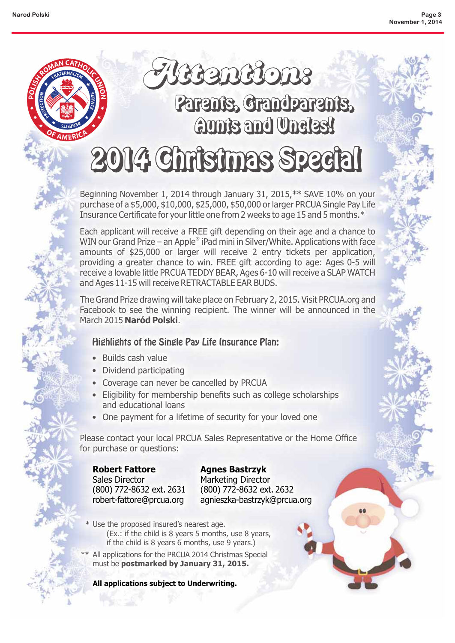

# aunts and Undles! 2014 Christmas Special

Beginning November 1, 2014 through January 31, 2015,\*\* SAVE 10% on your purchase of a \$5,000, \$10,000, \$25,000, \$50,000 or larger PRCUA Single Pay Life Insurance Certificate for your little one from 2 weeks to age 15 and 5 months.\*

Each applicant will receive a FREE gift depending on their age and a chance to WIN our Grand Prize – an Apple $^\circ$  iPad mini in Silver/White. Applications with face amounts of \$25,000 or larger will receive 2 entry tickets per application, providing a greater chance to win. FREE gift according to age: Ages 0-5 will receive a lovable little PRCUA TEDDY BEAR, Ages 6-10 will receive a SLAP WATCH and Ages 11-15 will receive RETRACTABLE EAR BUDS.

The Grand Prize drawing will take place on February 2, 2015. Visit PRCUA.org and Facebook to see the winning recipient. The winner will be announced in the March 2015 Naród Polski.

#### Highlights of the Single Pay Life Insurance Plan:

- Builds cash value
- Dividend participating
- Coverage can never be cancelled by PRCUA
- Eligibility for membership benefits such as college scholarships and educational loans
- One payment for a lifetime of security for your loved one

Please contact your local PRCUA Sales Representative or the Home Office for purchase or questions:

**Robert Fattore** Sales Director (800) 772-8632 ext. 2631 robert-fattore@prcua.org

Marketing Director (800) 772-8632 ext. 2632 agnieszka-bastrzyk@prcua.org

- \* Use the proposed insured's nearest age. (Ex.: if the child is 8 years 5 months, use 8 years, if the child is 8 years 6 months, use 9 years.) **Robert Fattore**<br>
Sales Director Marketing Directo<br>
(800) 772-8632 ext. 2631 (800) 772-8632 expresent-fattore@prcua.org agnieszka-bastrzyl<br>
\* Use the proposed insured's nearest age.<br>
(Ex.: if the child is 8 years 5 months,
- \*\* All applications for the PRCUA 2014 Christmas Special must be **postmarked by January 31, 2015.**

**All applications subject to Underwriting.**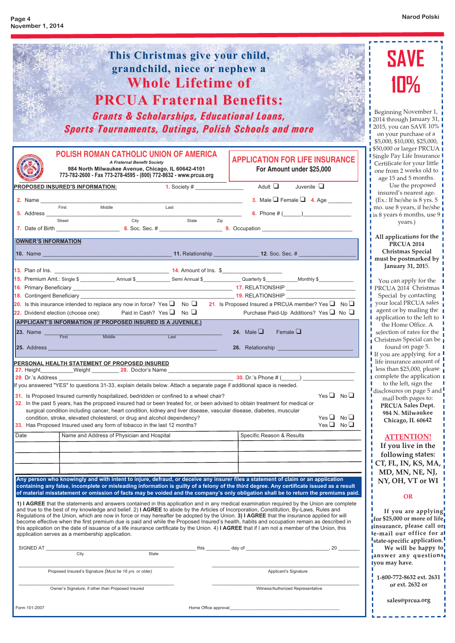٦

ı  $\blacksquare$ L T T п п ı ш T I.  $\mathbb{L}$ T п T  $\mathbb{R}^n$ T L

> L п П Ш T П

> ш п

Ш T П П ı I. T.  $\mathbb{L}$ 

I

 $\begin{array}{c} 1 \\ 1 \\ 1 \\ 1 \\ 2 \end{array}$ 

| This Christmas give your child,<br>grandchild, niece or nephew a<br><b>Whole Lifetime of</b><br><b>PRCUA Fraternal Benefits:</b><br><b>Grants &amp; Scholarships, Educational Loans,</b><br><b>Sports Tournaments, Outings, Polish Schools and more</b>                                                                                                                                                                                                                                                                                                                                                                                                                                                                                                                                                                                                                                                                                                                                                                                                                                                                                                                                                                                                                                                                                                                                            | <b>SAVE</b><br>10%<br>Beginning November 1,<br>2014 through January 31, I<br>2015, you can SAVE 10%<br>on your purchase of a<br>$\frac{1}{1}$ \$5,000, \$10,000, \$25,000, $\frac{1}{1}$                                                                                                                                                                                                        |
|----------------------------------------------------------------------------------------------------------------------------------------------------------------------------------------------------------------------------------------------------------------------------------------------------------------------------------------------------------------------------------------------------------------------------------------------------------------------------------------------------------------------------------------------------------------------------------------------------------------------------------------------------------------------------------------------------------------------------------------------------------------------------------------------------------------------------------------------------------------------------------------------------------------------------------------------------------------------------------------------------------------------------------------------------------------------------------------------------------------------------------------------------------------------------------------------------------------------------------------------------------------------------------------------------------------------------------------------------------------------------------------------------|-------------------------------------------------------------------------------------------------------------------------------------------------------------------------------------------------------------------------------------------------------------------------------------------------------------------------------------------------------------------------------------------------|
| <b>POLISH ROMAN CATHOLIC UNION OF AMERICA</b><br><b>APPLICATION FOR LIFE INSURANCE</b><br><b>A Fraternal Benefit Society</b><br>984 North Milwaukee Avenue, Chicago, IL 60642-4101<br>For Amount under \$25,000<br>773-782-2600 - Fax 773-278-4595 - (800) 772-8632 - www.prcua.org<br>Juvenile $\square$<br><b>PROPOSED INSURED'S INFORMATION:</b><br>3. Male $\Box$ Female $\Box$ 4. Age<br>Middle<br>First<br>Last<br>6. Phone $\#$ ( )<br>$\overline{\phantom{a}}$ State<br>City<br>Zip<br>Street                                                                                                                                                                                                                                                                                                                                                                                                                                                                                                                                                                                                                                                                                                                                                                                                                                                                                              | \$50,000 or larger PRCUA<br>I Single Pay Life Insurance I<br>Certificate for your little<br>one from 2 weeks old to<br>age 15 and 5 months.<br>Use the proposed<br>insured's nearest age.<br>(Ex.: If he/she is 8 yrs. 5<br>mo. use 8 years, if he/she<br>is 8 years 6 months, use 9<br>years.)<br>All applications for the                                                                     |
| <b>OWNER'S INFORMATION</b><br>15. Premium Amt.: Single \$ ________________ Annual \$ ______________ Semi Annual \$ _____________Quarterly \$ ____________Monthly \$<br>19. RELATIONSHIP<br>20. Is this insurance intended to replace any now in force? Yes $\Box$ No $\Box$ 21. Is Proposed Insured a PRCUA member? Yes $\Box$ No $\Box$<br>Paid in Cash? Yes $\Box$ No $\Box$<br>Purchase Paid-Up Additions? Yes $\Box$ No $\Box$<br>22. Dividend election (choose one):<br><b>APPLICANT'S INFORMATION (IF PROPOSED INSURED IS A JUVENILE.)</b><br>24. Male $\Box$<br>Female $\Box$<br>23. Name First<br>Middle<br>Last<br>25. Address_<br>26. Relationship                                                                                                                                                                                                                                                                                                                                                                                                                                                                                                                                                                                                                                                                                                                                       | <b>PRCUA 2014</b><br><b>Christmas Special</b><br>must be postmarked by<br>January 31, 2015.<br>$\blacksquare$ You can apply for the<br><b>I PRCUA 2014 Christmas</b><br>Special by contacting<br>your local PRCUA sales<br><b>q</b> agent or by mailing the<br>I application to the left to<br>the Home Office. A<br>selection of rates for the<br>Christmas Special can be<br>found on page 5. |
| <u> 1989 - Johann Harry Barn, mars an t-Amerikaansk kommunister (</u><br>PERSONAL HEALTH STATEMENT OF PROPOSED INSURED<br>27. Height____________Weight __________ 28. Doctor's Name ______________________<br><b>30.</b> Dr.'s Phone $#$ ( )<br>If you answered "YES" to questions 31-33, explain details below. Attach a separate page if additional space is needed.<br>$Yes \Box No \Box$<br>31. Is Proposed Insured currently hospitalized, bedridden or confined to a wheel chair?<br>32. In the past 5 years, has the proposed insured had or been treated for, or been advised to obtain treatment for medical or<br>surgical condition including cancer, heart condition, kidney and liver disease, vascular disease, diabetes, muscular<br>$Yes \Box No \Box$<br>condition, stroke, elevated cholesterol, or drug and alcohol dependency?<br>$Yes \Box No \Box$<br>33. Has Proposed Insured used any form of tobacco in the last 12 months?<br>Date<br>Name and Address of Physician and Hospital<br>Specific Reason & Results                                                                                                                                                                                                                                                                                                                                                            | If you are applying for a<br>life insurance amount of<br>less than $$25,000$ , please<br>complete the application<br>to the left, sign the<br>disclosures on page $5$ and<br>mail both pages to:<br>PRCUA Sales Dept.<br>984 N. Milwaukee<br>п<br>Chicago, IL 60642<br><b>ATTENTION!</b><br>If you live in the<br>following states:                                                             |
| Any person who knowingly and with intent to injure, defraud, or deceive any insurer files a statement of claim or an application<br>containing any false, incomplete or misleading information is guilty of a felony of the third degree. Any certificate issued as a result<br>of material misstatement or omission of facts may be voided and the company's only obligation shall be to return the premiums paid.<br>1) I AGREE that the statements and answers contained in this application and in any medical examination required by the Union are complete<br>and true to the best of my knowledge and belief. 2) I AGREE to abide by the Articles of Incorporation, Constitution, By-Laws, Rules and<br>Regulations of the Union, which are now in force or may hereafter be adopted by the Union. 3) I AGREE that the insurance applied for will<br>become effective when the first premium due is paid and while the Proposed Insured's health, habits and occupation remain as described in<br>this application on the date of issuance of a life insurance certificate by the Union. 4) I AGREE that if I am not a member of the Union, this<br>application serves as a membership application.<br>State<br>Proposed Insured's Signature (Must be 16 yrs. or older)<br>Applicant's Signature<br>Owner's Signature, if other than Proposed Insured<br>Witness/Authorized Representative | CT, FL, IN, KS, MA,<br>MD, MN, NE, NJ,<br>NY, OH, VT or WI<br><b>OR</b><br>If you are applying<br>for \$25,000 or more of life<br>linsurance, please call or<br>le-mail our office for al<br>state-specific application.<br>We will be happy to<br>janswer any questions<br>Iyou may have.<br>1-800-772-8632 ext. 2631<br>or ext. 2632 or<br>sales@prcua.org                                    |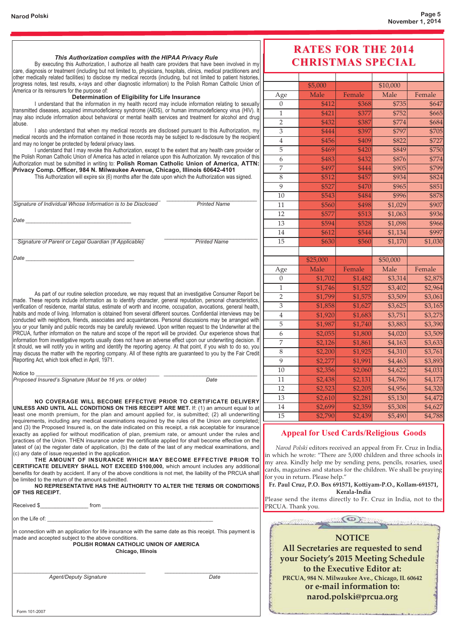Form 101-2007

| This Authorization complies with the HIPAA Privacy Rule                                                                                                                                                                                                                                                                                                                                                                     |                                                                                                          | <b>RATES FOR THE 2014</b><br><b>CHRISTMAS SPECIAL</b> |                                                                                                                                                                                                          |                                                                                    |          |         |
|-----------------------------------------------------------------------------------------------------------------------------------------------------------------------------------------------------------------------------------------------------------------------------------------------------------------------------------------------------------------------------------------------------------------------------|----------------------------------------------------------------------------------------------------------|-------------------------------------------------------|----------------------------------------------------------------------------------------------------------------------------------------------------------------------------------------------------------|------------------------------------------------------------------------------------|----------|---------|
| By executing this Authorization, I authorize all health care providers that have been involved in my<br>care, diagnosis or treatment (including but not limited to, physicians, hospitals, clinics, medical practitioners and                                                                                                                                                                                               |                                                                                                          |                                                       |                                                                                                                                                                                                          |                                                                                    |          |         |
| other medically related facilities) to disclose my medical records (including, but not limited to patient histories,<br>progress notes, test results, x-rays and other diagnostic information) to the Polish Roman Catholic Union of                                                                                                                                                                                        |                                                                                                          |                                                       | \$5,000                                                                                                                                                                                                  |                                                                                    | \$10,000 |         |
| America or its reinsurers for the purpose of:                                                                                                                                                                                                                                                                                                                                                                               |                                                                                                          | Age                                                   | Male                                                                                                                                                                                                     | Female                                                                             | Male     | Female  |
| Determination of Eligibility for Life Insurance<br>I understand that the information in my health record may include information relating to sexually                                                                                                                                                                                                                                                                       |                                                                                                          | $\overline{0}$                                        | \$412                                                                                                                                                                                                    | \$368                                                                              | \$735    | \$647   |
| transmitted diseases, acquired immunodeficiency syndrome (AIDS), or human immunodeficiency virus (HIV). It                                                                                                                                                                                                                                                                                                                  |                                                                                                          | $\mathbf{1}$                                          | \$421                                                                                                                                                                                                    | \$377                                                                              | \$752    | \$665   |
| may also include information about behavioral or mental health services and treatment for alcohol and drug                                                                                                                                                                                                                                                                                                                  |                                                                                                          | $\overline{2}$                                        | \$432                                                                                                                                                                                                    | \$387                                                                              | \$774    | \$684   |
| abuse.<br>I also understand that when my medical records are disclosed pursuant to this Authorization, my                                                                                                                                                                                                                                                                                                                   |                                                                                                          | 3                                                     | \$444                                                                                                                                                                                                    | \$397                                                                              | \$797    | \$705   |
| medical records and the information contained in those records may be subject to re-disclosure by the recipient                                                                                                                                                                                                                                                                                                             |                                                                                                          |                                                       |                                                                                                                                                                                                          |                                                                                    |          | \$727   |
| and may no longer be protected by federal privacy laws.                                                                                                                                                                                                                                                                                                                                                                     | I understand that I may revoke this Authorization, except to the extent that any health care provider or | $\overline{4}$                                        | \$456                                                                                                                                                                                                    | \$409                                                                              | \$822    |         |
| the Polish Roman Catholic Union of America has acted in reliance upon this Authorization. My revocation of this                                                                                                                                                                                                                                                                                                             |                                                                                                          | 5                                                     | \$469                                                                                                                                                                                                    | \$420                                                                              | \$849    | \$750   |
| Authorization must be submitted in writing to: Polish Roman Catholic Union of America, ATTN:                                                                                                                                                                                                                                                                                                                                |                                                                                                          | 6                                                     | \$483                                                                                                                                                                                                    | \$432                                                                              | \$876    | \$774   |
| Privacy Comp. Officer, 984 N. Milwaukee Avenue, Chicago, Illinois 60642-4101                                                                                                                                                                                                                                                                                                                                                |                                                                                                          | 7                                                     | \$497                                                                                                                                                                                                    | \$444                                                                              | \$905    | \$799   |
| This Authorization will expire six (6) months after the date upon which the Authorization was signed.                                                                                                                                                                                                                                                                                                                       |                                                                                                          | 8                                                     | \$512                                                                                                                                                                                                    | \$457                                                                              | \$934    | \$824   |
|                                                                                                                                                                                                                                                                                                                                                                                                                             |                                                                                                          | 9                                                     | \$527                                                                                                                                                                                                    | \$470                                                                              | \$965    | \$851   |
|                                                                                                                                                                                                                                                                                                                                                                                                                             |                                                                                                          | 10                                                    | \$543                                                                                                                                                                                                    | \$484                                                                              | \$996    | \$878   |
| Signature of Individual Whose Information is to be Disclosed                                                                                                                                                                                                                                                                                                                                                                | <b>Printed Name</b>                                                                                      | 11                                                    | \$560                                                                                                                                                                                                    | \$498                                                                              | \$1,029  | \$907   |
|                                                                                                                                                                                                                                                                                                                                                                                                                             |                                                                                                          | 12                                                    | \$577                                                                                                                                                                                                    | \$513                                                                              | \$1,063  | \$936   |
| Date                                                                                                                                                                                                                                                                                                                                                                                                                        |                                                                                                          | 13                                                    | \$594                                                                                                                                                                                                    | \$528                                                                              | \$1,098  | \$966   |
|                                                                                                                                                                                                                                                                                                                                                                                                                             |                                                                                                          | 14                                                    | \$612                                                                                                                                                                                                    | \$544                                                                              | \$1,134  | \$997   |
| Signature of Parent or Legal Guardian (If Applicable)                                                                                                                                                                                                                                                                                                                                                                       | <b>Printed Name</b>                                                                                      | 15                                                    | \$630                                                                                                                                                                                                    | \$560                                                                              | \$1,170  | \$1,030 |
|                                                                                                                                                                                                                                                                                                                                                                                                                             |                                                                                                          |                                                       |                                                                                                                                                                                                          |                                                                                    |          |         |
| Date                                                                                                                                                                                                                                                                                                                                                                                                                        |                                                                                                          |                                                       | \$25,000                                                                                                                                                                                                 |                                                                                    | \$50,000 |         |
|                                                                                                                                                                                                                                                                                                                                                                                                                             |                                                                                                          | Age                                                   | Male                                                                                                                                                                                                     | Female                                                                             | Male     | Female  |
|                                                                                                                                                                                                                                                                                                                                                                                                                             |                                                                                                          | $\theta$                                              | \$1,702                                                                                                                                                                                                  | \$1,482                                                                            | \$3,314  | \$2,875 |
|                                                                                                                                                                                                                                                                                                                                                                                                                             |                                                                                                          | $\mathbf{1}$                                          | \$1,746                                                                                                                                                                                                  | \$1,527                                                                            | \$3,402  | \$2,964 |
| As part of our routine selection procedure, we may request that an investigative Consumer Report be                                                                                                                                                                                                                                                                                                                         |                                                                                                          | $\overline{2}$                                        | \$1,799                                                                                                                                                                                                  | \$1,575                                                                            | \$3,509  | \$3,061 |
| made. These reports include information as to identify character, general reputation, personal characteristics,<br>verification of residence, marital status, estimate of worth and income, occupation, avocations, general health,                                                                                                                                                                                         |                                                                                                          | 3                                                     | \$1,858                                                                                                                                                                                                  | \$1,627                                                                            | \$3,625  | \$3,165 |
| habits and mode of living. Information is obtained from several different sources. Confidential interviews may be                                                                                                                                                                                                                                                                                                           |                                                                                                          | $\overline{4}$                                        | \$1,920                                                                                                                                                                                                  | \$1,683                                                                            | \$3,751  | \$3,275 |
| conducted with neighbors, friends, associates and acquaintances. Personal discussions may be arranged with                                                                                                                                                                                                                                                                                                                  |                                                                                                          | 5                                                     | \$1,987                                                                                                                                                                                                  | \$1,740                                                                            | \$3,883  | \$3,390 |
| you or your family and public records may be carefully reviewed. Upon written request to the Underwriter at the<br>PRCUA, further information on the nature and scope of the report will be provided. Our experience shows that                                                                                                                                                                                             |                                                                                                          | 6                                                     | \$2,055                                                                                                                                                                                                  | \$1,800                                                                            | \$4,020  | \$3,509 |
| information from investigative reports usually does not have an adverse effect upon our underwriting decision. If                                                                                                                                                                                                                                                                                                           |                                                                                                          | 7                                                     |                                                                                                                                                                                                          |                                                                                    |          |         |
| it should, we will notify you in writing and identify the reporting agency. At that point, if you wish to do so, you                                                                                                                                                                                                                                                                                                        |                                                                                                          |                                                       | \$2,126                                                                                                                                                                                                  | \$1,861                                                                            | \$4,163  | \$3,633 |
| may discuss the matter with the reporting company. All of these rights are guaranteed to you by the Fair Credit                                                                                                                                                                                                                                                                                                             |                                                                                                          | $8\,$                                                 | \$2,200                                                                                                                                                                                                  | \$1,925                                                                            | \$4,310  | \$3,761 |
| Reporting Act, which took effect in April, 1971.                                                                                                                                                                                                                                                                                                                                                                            |                                                                                                          | 9                                                     | \$2,277                                                                                                                                                                                                  | \$1,991                                                                            | \$4,463  | \$3,893 |
| Notice to                                                                                                                                                                                                                                                                                                                                                                                                                   |                                                                                                          | 10                                                    | \$2,356                                                                                                                                                                                                  | \$2,060                                                                            | \$4,622  | \$4,031 |
| Proposed Insured's Signature (Must be 16 yrs. or older)                                                                                                                                                                                                                                                                                                                                                                     | Date                                                                                                     | 11                                                    | \$2,438                                                                                                                                                                                                  | \$2,131                                                                            | \$4,786  | \$4,173 |
|                                                                                                                                                                                                                                                                                                                                                                                                                             |                                                                                                          | 12                                                    | \$2,523                                                                                                                                                                                                  | \$2,205                                                                            | \$4,956  | \$4,320 |
| NO COVERAGE WILL BECOME EFFECTIVE PRIOR TO CERTIFICATE DELIVERY                                                                                                                                                                                                                                                                                                                                                             |                                                                                                          | 13                                                    | \$2,610                                                                                                                                                                                                  | \$2,281                                                                            | \$5,130  | \$4,472 |
| UNLESS AND UNTIL ALL CONDITIONS ON THIS RECEIPT ARE MET. If: (1) an amount equal to at                                                                                                                                                                                                                                                                                                                                      |                                                                                                          | 14                                                    | \$2,699                                                                                                                                                                                                  | \$2,359                                                                            | \$5,308  | \$4,627 |
| least one month premium, for the plan and amount applied for, is submitted; (2) all underwriting                                                                                                                                                                                                                                                                                                                            |                                                                                                          | 15                                                    | \$2,790                                                                                                                                                                                                  | \$2,439                                                                            | \$5,490  | \$4,788 |
| requirements, including any medical examinations required by the rules of the Union are completed;<br>and (3) the Proposed Insured is, on the date indicated on this receipt, a risk acceptable for insurance<br>exactly as applied for without modification of plan, premium rate, or amount under the rules and<br>practices of the Union. THEN insurance under the certificate applied for shall become effective on the |                                                                                                          |                                                       | <b>Appeal for Used Cards/Religious Goods</b>                                                                                                                                                             |                                                                                    |          |         |
| latest of (a) the register date of application, (b) the date of the last of any medical examinations, and<br>(c) any date of issue requested in the application.<br>THE AMOUNT OF INSURANCE WHICH MAY BECOME EFFECTIVE PRIOR TO<br>CERTIFICATE DELIVERY SHALL NOT EXCEED \$100,000, which amount includes any additional                                                                                                    |                                                                                                          |                                                       | Narod Polski editors received an appeal from Fr. Cruz in India,<br>in which he wrote: "There are 5,000 children and three schools in<br>my area. Kindly help me by sending pens, pencils, rosaries, used |                                                                                    |          |         |
| benefits for death by accident. If any of the above conditions is not met, the liability of the PRCUA shall<br>be limited to the return of the amount submitted.<br>NO REPRESENTATIVE HAS THE AUTHORITY TO ALTER THE TERMS OR CONDITIONS                                                                                                                                                                                    |                                                                                                          |                                                       | cards, magazines and statues for the children. We shall be praying<br>for you in return. Please help."<br>Fr. Paul Cruz, P.O. Box 691571, Kottiyam-P.O., Kollam-691571,                                  |                                                                                    |          |         |
| OF THIS RECEIPT.<br><b>Example 1</b> From<br>Received \$                                                                                                                                                                                                                                                                                                                                                                    |                                                                                                          | PRCUA. Thank you.                                     | Please send the items directly to Fr. Cruz in India, not to the                                                                                                                                          | Kerala-India                                                                       |          |         |
| on the Life of: _                                                                                                                                                                                                                                                                                                                                                                                                           |                                                                                                          |                                                       | <b>MARINORM</b>                                                                                                                                                                                          |                                                                                    |          |         |
| in connection with an application for life insurance with the same date as this receipt. This payment is<br>made and accepted subject to the above conditions.<br>POLISH ROMAN CATHOLIC UNION OF AMERICA<br>Chicago, Illinois                                                                                                                                                                                               |                                                                                                          |                                                       | All Secretaries are requested to send<br>your Society's 2015 Meeting Schedule                                                                                                                            | <b>NOTICE</b>                                                                      |          |         |
| <b>Agent/Deputy Signature</b>                                                                                                                                                                                                                                                                                                                                                                                               | Date                                                                                                     |                                                       | PRCUA, 984 N. Milwaukee Ave., Chicago, IL 60642                                                                                                                                                          | to the Executive Editor at:<br>or e-mail information to:<br>narod.polski@prcua.org |          |         |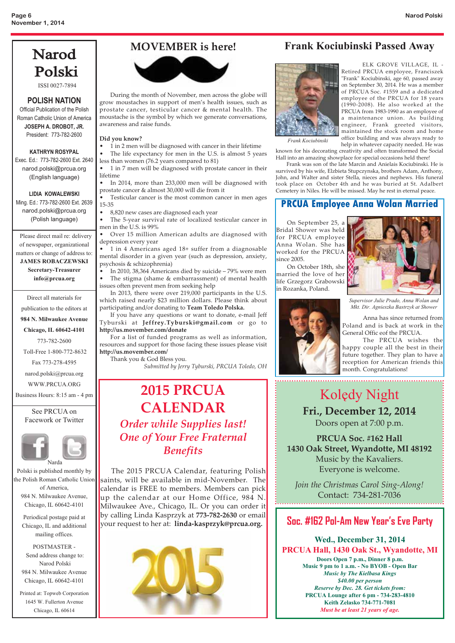## Narod Polski

ISSI 0027-7894

#### **POLISH NATION**

Official Publication of the Polish Roman Catholic Union of America **JOSEPH A. DROBOT, JR.**

President: 773-782-2600

**KATHRYN ROSYPAL** Exec. Ed.: 773-782-2600 Ext. 2640 narod.polski@prcua.org (English language)

#### **LIDIA KOWALEWSKI**

Ming. Ed.: 773-782-2600 Ext. 2639 narod.polski@prcua.org (Polish language)

Please direct mail re: delivery of newspaper, organizational matters or change of address to: **JAMES ROBACZEWSKI Secretary-Treasurer info@prcua.org**

Direct all materials for publication to the editors at

**984 N. Milwaukee Avenue**

**Chicago, IL 60642-4101**

773-782-2600

Toll-Free 1-800-772-8632

Fax 773-278-4595

narod.polski@prcua.org WWW.PRCUA.ORG

Business Hours: 8:15 am - 4 pm

See PRCUA on Facework or Twitter



Polski is published monthly by the Polish Roman Catholic Union of America, 984 N. Milwaukee Avenue, Chicago, IL 60642-4101

Periodical postage paid at Chicago, IL and additional mailing offices.

POSTMASTER - Send address change to: Narod Polski 984 N. Milwaukee Avenue Chicago, IL 60642-4101

Printed at: Topweb Corporation 1645 W. Fullerton Avenue Chicago, IL 60614

#### **MOVEMBER is here!**



 During the month of November, men across the globe will grow moustaches in support of men's health issues, such as prostate cancer, testicular cancer & mental health. The moustache is the symbol by which we generate conversations, awareness and raise funds.

#### **Did you know?**

• 1 in 2 men will be diagnosed with cancer in their lifetime

The life expectancy for men in the U.S. is almost 5 years less than women (76.2 years compared to 81)

• 1 in 7 men will be diagnosed with prostate cancer in their lifetime

• In 2014, more than 233,000 men will be diagnosed with

prostate cancer & almost 30,000 will die from it Testicular cancer is the most common cancer in men ages 15-35

• 8,820 new cases are diagnosed each year

• The 5-year survival rate of localized testicular cancer in men in the U.S. is 99%

• Over 15 million American adults are diagnosed with depression every year

• 1 in 4 Americans aged 18+ suffer from a diagnosable mental disorder in a given year (such as depression, anxiety, psychosis & schizophrenia)

• In 2010, 38,364 Americans died by suicide – 79% were men The stigma (shame & embarrassment) of mental health issues often prevent men from seeking help

 In 2013, there were over 219,000 participants in the U.S. which raised nearly \$23 million dollars. Please think about participating and/or donating to **Team Toledo Polska.**

 If you have any questions or want to donate, e-mail Jeff Tyburski at **Jeffrey.Tyburski@gmail.com** or go to **http://us.movember.com/donate**

 For a list of funded programs as well as information, resources and support for those facing these issues please visit **http://us.movember.com/**

Thank you & God Bless you.

*Submitted by Jerry Tyburski, PRCUA Toledo, OH*

## **2015 PRCUA CALENDAR**  *Order while Supplies last! One of Your Free Fraternal Benefits*

 The 2015 PRCUA Calendar, featuring Polish saints, will be available in mid-November. The calendar is FREE to members. Members can pick up the calendar at our Home Office, 984 N. Milwaukee Ave., Chicago, IL. Or you can order it by calling Linda Kasprzyk at **773-782-2630** or email your request to her at: **linda-kasprzyk@prcua.org.**



#### Frank Kociubinski Passed Away



ELK GROVE VILLAGE, IL - Retired PRCUA employee, Franciszek "Frank" Kociubinski, age 60, passed away on September 30, 2014. He was a member of PRCUA Soc. #1559 and a dedicated employee of the PRCUA for 18 years (1990-2008). He also worked at the PRCUA from 1983-1990 as an employee of a maintenance union. As building engineer, Frank greeted visitors, maintained the stock room and home office building and was always ready to help in whatever capacity needed. He was

*Frank Kociubinski*

known for his decorating creativity and often transformed the Social Hall into an amazing showplace for special occasions held there!

 Frank was son of the late Marcin and Anielais Kociubinski. He is survived by his wife, Elzbieta Stupczynska, brothers Adam, Anthony, John, and Walter and sister Stella, nieces and nephews. His funeral took place on October 4th and he was buried at St. Adalbert Cemetery in Niles. He will be missed. May he rest in eternal peace.

#### **PRCUA Employee Anna Wolan Married**

 On September 25, a Bridal Shower was held for PRCUA employee Anna Wolan. She has worked for the PRCUA since 2005.

 On October 18th, she married the love of her life Grzegorz Grabowski in Rozanka, Poland.



*Supervisor Julie Prado, Anna Wolan and Mkt. Dir. Agnieszka Bastrzyk at Shower*

Anna has since returned from Poland and is back at work in the General Offic eof the PRCUA.

The PRCUA wishes the happy couple all the best in their future together. They plan to have a reception for American friends this month. Congratulations!

## **Kolędy Night Fri., December 12, 2014**

Doors open at 7:00 p.m.

**PRCUA Soc. #162 Hall 1430 Oak Street, Wyandotte, MI 48192** Music by the Kavaliers. Everyone is welcome.

*Join the Christmas Carol Sing-Along!* Contact: 734-281-7036

#### **Soc. #162 Pol-Am New Year's Eve Party**

Wed., December 31, 2014 PRCUA Hall, 1430 Oak St., Wyandotte, MI Doors Open 7 p.m., Dinner 8 p.m. Music 9 pm to 1 a.m. - No BYOB - Open Bar *Music by The Kielbasa Kings Reserve by Dec. 28. Get tickets from: Reserve by Dec. 28. Get tickets from:* PRCUA Lounge after 6 pm - 734-283-4810 Keith Zelasko 734-771-7081 *Must be at least 21 years of age.*

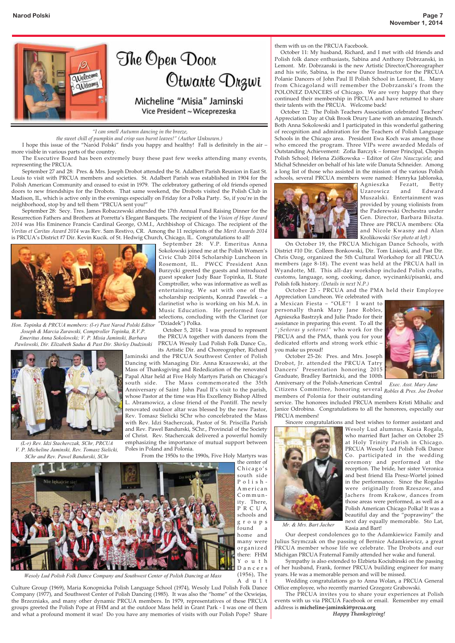

*"I can smell Autumn dancing in the breeze,* 

*the sweet chill of pumpkin and crisp sun burnt leaves!" (Author Unknown.)*

 I hope this issue of the "Naród Polski" finds you happy and healthy! Fall is definitely in the air – more visible in various parts of the country.

 The Executive Board has been extremely busy these past few weeks attending many events, representing the PRCUA.

 September 27 and 28: Pres. & Mrs. Joseph Drobot attended the St. Adalbert Parish Reunion in East St. Louis to visit with PRCUA members and societies. St. Adalbert Parish was established in 1904 for the Polish American Community and ceased to exist in 1979. The celebratory gathering of old friends opened doors to new friendships for the Drobots. That same weekend, the Drobots visited the Polish Club in Madison, IL, which is active only in the evenings especially on Friday for a Polka Party. So, if you're in the neighborhood, stop by and tell them "PRCUA sent you!"

 September 28: Secy. Tres. James Robaczewski attended the 17th Annual Fund Raising Dinner for the Resurrection Fathers and Brothers at Porretta's Elegant Banquets. The recipient of the *Vision of Hope Award 2014* was His Eminence Francis Cardinal George, O.M.I., Archbishop of Chicago. The recipient of the *Veritas et Caritas Award 2014* was Rev. Sam Restivo, CR. Among the 11 recipients of the *Merit Awards 2014* is PRCUA's District #7 Dir. Kevin Kucik. of St. Hedwig Church, Chicago, IL. Congratulations to all!



*Hon. Topinka & PRCUA members: (l-r) Past Narod Polski Editor Joseph & Marcia Zurawski, Comptroller Topinka, R.V.P. Emeritus Anna Sokolowski; V. P. Misia Jaminski, Barbara Pawlowski, Dir. Elizabeth Sadus & Past Dir. Shirley Dudzinski*



*(L-r) Rev. Idzi Stacherczak, SChr, PRCUA V. P. Micheline Jaminski, Rev. Tomasz Sielicki, SChr and Rev. Pawel Bandurski, SChr*

September 28: V.P. Emeritus Anna Sokolowski joined me at the Polish Women's Civic Club 2014 Scholarship Luncheon in Rosemont, IL. PWCC President Ann Burzycki greeted the guests and introduced guest speaker Judy Baar Topinka, IL State Comptroller, who was informative as well as entertaining. We sat with one of the scholarship recipients, Konrad Pawelek – a clarinetist who is working on his M.A. in Music Education. He performed four selections, concluding with the Clarinet (or "Dziadek") Polka.

October 5, 2014: I was proud to represent the PRCUA together with dancers from the PRCUA Wesoly Lud Polish Folk Dance Co,.

its Artistic Dir. and Choreographer, Richard Jaminski and the PRCUA Southwest Center of Polish Dancing with Managing Dir. Anna Kraszewski, at the Mass of Thanksgiving and Rededication of the renovated Papal Altar held at Five Holy Martyrs Parish on Chicago's south side. The Mass commemorated the 35th Anniversary of Saint John Paul II's visit to the parish, whose Pastor at the time was His Excellency Bishop Alfred L. Abramowicz, a close friend of the Pontiff. The newly renovated outdoor altar was blessed by the new Pastor, Rev. Tomasz Sielicki SChr who concelebrated the Mass with Rev. Idzi Stacherczak, Pastor of St. Priscilla Parish and Rev. Pawel Bandurski, SChr., Provincial of the Society of Christ. Rev. Stacherczak delivered a powerful homily emphasizing the importance of mutual support between Poles in Poland and Polonia.

From the 1950s to the 1990s, Five Holy Martyrs was



*Wesoly Lud Polish Folk Dance Company and Southwest Center of Polish Dancing at Mass*

Adult Culture Group (1969), Maria Konopnicka Polish Language School (1974), Wesoly Lud Polish Folk Dance Company (1977), and Southwest Center of Polish Dancing (1985). It was also the "home" of the Ocwiejas, the Brzezniaks, and many other dynamic PRCUA members. In 1979, representatives of these PRCUA groups greeted the Polish Pope at FHM and at the outdoor Mass held in Grant Park - I was one of them and what a profound moment it was! Do you have any memories of visits with our Polish Pope? Share them with us on the PRCUA Facebook.

October 11: My husband, Richard, and I met with old friends and Polish folk dance enthusiasts, Sabina and Anthony Dobrzanski, in Lemont. Mr. Dobrzanski is the new Artistic Director/Choreographer and his wife, Sabina, is the new Dance Instructor for the PRCUA Polanie Dancers of John Paul II Polish School in Lemont, IL. Many from Chicagoland will remember the Dobrzanski's from the POLONEZ DANCERS of Chicago. We are very happy that they continued their membership in PRCUA and have returned to share their talents with the PRCUA. Welcome back!

October 12: The Polish Teachers Association celebrated Teachers' Appreciation Day at Oak Brook Drury Lane with an amazing Brunch. Both Anna Sokolowski and I participated in this wonderful gathering of recognition and admiration for the Teachers of Polish Language Schools in the Chicago area. President Ewa Koch was among those who emceed the program. Three VIPs were awarded Medals of Outstanding Achievement: Zofia Barczyk – former Principal, Chopin Polish School; Helena Ziółkowska – Editor of *Głos Nauczyciela*; and Michał Schneider on behalf of his late wife Danuta Schneider. Among a long list of those who assisted in the mission of the various Polish schools, several PRCUA members were named: Henryka Jablonska,



Agnieszka Fezatt, Betty Uzarowicz and Edward Muszalski. Entertainment was provided by young violinists from the Paderewski Orchestra under Gen. Director, Barbara Bilszta. Three are PRCUA members: Ola and Nicole Kwasny and Alan Krolikowski *(See photo at left.)* 

 On October 19, the PRCUA Michigan Dance Schools, with District #10 Dir. Colleen Bonkowski, Dir. Tom Lisiecki, and Past Dir. Chris Ozog, organized the 5th Cultural Workshop for all PRCUA members (age 8-18). The event was held at the PRCUA hall in Wyandotte, MI. This all-day workshop included Polish crafts, customs, language, song, cooking, dance, wycinanki/pisanki, and Polish folk history. *(Details in next N.P.)*

October 23 - PRCUA and the PMA held their Employee

Appreciation Luncheon. We celebrated with a Mexican Fiesta – "OLE"! I want to personally thank Mary Jane Robles, Agnieszka Bastrzyk and Julie Prado for their assistance in preparing this event. To all the *"¡Señoras y señores!"* who work for the PRCUA and the PMA, thank you for your dedicated efforts and strong work ethic – you make us proud!



*Mr. & Mrs. Bart Jacher*

*Exec. Asst. Mary Jane*

service. The honorees included PRCUA members Kristi Mihalic and Janice Odrobina. Congratulations to all the honorees, especially our PRCUA members!

 Sincere congratulations and best wishes to former assistant and Wesoly Lud alumnus, Kasia Rogala, who married Bart Jacher on October 25 at Holy Trinity Parish in Chicago. PRCUA Wesoly Lud Polish Folk Dance Co. participated in the wedding ceremony and performed at the reception. The bride, her sister Veronica and best friend Ela Presz-Wortel joined in the performance. Since the Rogalas were originally from Rzeszow, and Jachers from Krakow, dances from those areas were performed, as well as a Polish American Chicago Polka! It was a beautiful day and the "poprawiny" the next day equally memorable. Sto Lat, Kasia and Bart!

 Our deepest condolences go to the Adamkiewicz Family and Julius Szymczak on the passing of Bernice Adamkiewicz, a great PRCUA member whose life we celebrate. The Drobots and our Michigan PRCUA Fraternal Family attended her wake and funeral.

 Sympathy is also extended to Elzbieta Kociubinski on the passing of her husband, Frank, former PRCUA building engineer for many years. He was a memorable person and will be missed.

 Wedding congratulations go to Anna Wolan, a PRCUA General Office employee, who recently married Grzegorz Grabowski.

 The PRCUA invites you to share your experiences at Polish events with us via PRCUA Facebook or email. Remember my email address is **micheline-jaminski@prcua.org**

*Happy Thanksgiving!*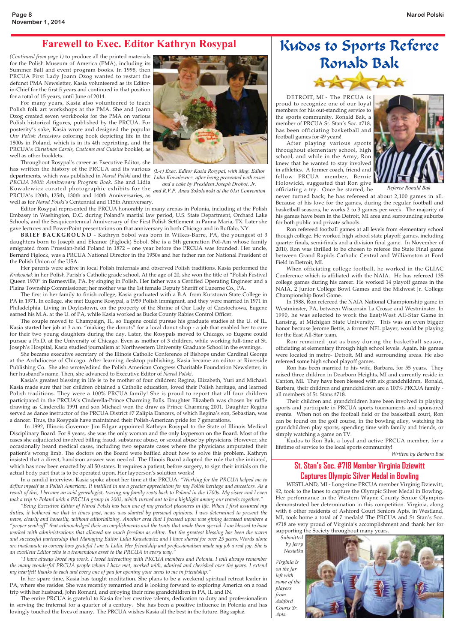#### Farewell to Exec. Editor Kathryn Rosypal

*(Continued from page 1)* to produce all the printed materials for the Polish Museum of America (PMA), including its Summer Ball and event program books. In 1998, then PRCUA First Lady Joann Ozog wanted to restart the defunct PMA Newsletter, Kasia volunteered as its Editorin-Chief for the first 5 years and continued in that position for a total of 15 years, until June of 2014.

For many years, Kasia also volunteered to teach Polish folk art workshops at the PMA. She and Joann Ozog created seven workbooks for the PMA on various Polish historical figures, published by the PRCUA. For posterity's sake, Kasia wrote and designed the popular *Our Polish Ancestors* coloring book depicting life in the 1800s in Poland, which is in its 4th reprinting, and the PRCUA's *Christmas Carols, Customs and Cuisine* booklet, as well as other booklets.

Throughout Rosypal's career as Executive Editor, she has written the history of the PRCUA and its various departments, which was published in *Narod Polski* and the *PRCUA 140th Anniversary Program Book*. She and Lidia Kowalewicz curated photographic exhibits for the *and R.V.P. Anna Sokolowski at the 61st Convention* PRCUA's 120th, 125th, 130th and 140th Anniversaries, as

well as for *Narod Polski's* Centennial and 115th Anniversary.

Editor Rosypal represented the PRCUA honorably in many arenas in Polonia, including at the Polish Embassy in Washington, D.C. during Poland's martial law period, U.S. State Department, Orchard Lake Schools, and the Sesquicentennial Anniversary of the First Polish Settlement in Panna Maria, TX. Later she gave lectures and PowerPoint presentations on that anniversary in both Chicago and in Buffalo, NY.

**BRIEF BACKGROUND** - Kathryn Sobol was born in Wilkes-Barre, PA, the youngest of 3 daughters born to Joseph and Eleanor (Figlock) Sobol. She is a 5th generation Pol-Am whose family emigrated from Prussian-held Poland in 1872 – one year before the PRCUA was founded. Her uncle, Bernard Figlock, was a PRCUA National Director in the 1950s and her father ran for National President of the Polish Union of the USA.

Her parents were active in local Polish fraternals and observed Polish traditions. Kasia performed the *Krakowiak* in her Polish Parish's Catholic grade school. At the age of 20, she won the title of "Polish Festival Queen 1970" in Barnesville, PA. by singing in Polish. Her father was a Certified Operating Engineer and a Plains Township Commissioner; her mother was the 1st female Deputy Sheriff of Luzerne Co., PA.

The first in her family to finish college, Kasia graduated with a B.A. from Kutztown State College in PA in 1971. In college, she met Eugene Rosypal, a 1959 Polish immigrant, and they were married in 1971 in Philadelphia. Living in Doylestown, on the property of the Shrine of Our Lady of Czestochowa, Eugene earned his M.A. at the U. of PA, while Kasia worked as Bucks County Rabies Control Officer.

The couple moved to Champaign, IL, so Eugene could pursue his graduate studies at the U. of IL. Kasia started her job at 3 a.m. "making the donuts" for a local donut shop - a job that enabled her to care for their two young daughters during the day. Later, the Rosypals moved to Chicago, so Eugene could pursue a Ph.D. at the University of Chicago. Even as mother of 3 children, while working full-time at St. Joseph's Hospital, Kasia studied journalism at Northwestern University Graduate School in the evenings.

She became executive secretary of the Illinois Catholic Conference of Bishops under Cardinal George at the Archdiocese of Chicago. After learning desktop publishing, Kasia became an editor at Riverside Publishing Co. She also wrote/edited the Polish American Congress Charitable Foundation Newsletter, in her husband's name. Then, she advanced to Executive Editor of *Narod Polski*.

Kasia's greatest blessing in life is to be mother of four children: Regina, Elizabeth, Yuri and Michael. Kasia made sure that her children obtained a Catholic education, loved their Polish heritage, and learned Polish traditions. They were a 100% PRCUA family! She is proud to report that all four children participated in the PRCUA's Cinderella-Prince Charming Balls. Daughter Elizabeth was chosen by raffle drawing as Cinderella 1991 and son Michael won the draw as Prince Charming 2001. Daughter Regina served as dance instructor of the PRCUA District #7 Zalipia Dancers, of which Regina's son, Sebastian, was a dancer. Thus, the Rosypals have maintained their Polish-American pride for 7 generations.

In 1992, Illinois Governor Jim Edgar appointed Kathryn Rosypal to the State of Illinois Medical Disciplinary Board. For 9 years, she was the only woman and the only layperson on the Board. Most of the cases she adjudicated involved billing fraud, substance abuse, or sexual abuse by physicians. However, she occasionally heard medical cases, including two separate cases where the physicians amputated their patient's wrong limb. The doctors on the Board were baffled about how to solve this problem. Kathryn insisted that a direct, hands-on answer was needed. The Illinois Board adopted the rule that she initiated, which has now been enacted by all 50 states. It requires a patient, before surgery, to sign their initials on the actual body part that is to be operated upon. Her layperson's solution works!

In a candid interview, Kasia spoke about her time at the PRCUA: *"Working for the PRCUA helped me to define myself as a Polish American. It instilled in me a greater appreciation for my Polish heritage and ancestors. As a result of this, I became an avid genealogist, tracing my family roots back to Poland in the 1700s. My sister and I even took a trip to Poland with a PRCUA group in 2003, which turned out to be a highlight among our travels together."*

*"Being Executive Editor of Narod Polski has been one of my greatest pleasures in life. When I first assumed my duties, it bothered me that in times past, news was slanted by personal opinions. I was determined to present the news, clearly and honestly, without editorializing. Another area that I focused upon was giving deceased members a "proper send-off" that acknowledged their accomplishments and the traits that made them special. I am blessed to have worked with administrations that allowed me much freedom as editor. But the greatest blessing has been the warm and successful partnership that Managing Editor Lidia Kowalewicz and I have shared for over 25 years. Words alone are inadequate to convey how grateful I am to Lidia. Her friendship and professionalism made my job a real joy. She is an excellent Editor who is a tremendous asset to the PRCUA in every way."*

*"I have always loved my work. I loved interacting with PRCUA members and Polonia. I will always remember the many wonderful PRCUA people whom I have met, worked with, admired and cherished over the years. I extend my heartfelt thanks to each and every one of you for opening your arms to me in friendship."*

In her spare time, Kasia has taught meditation. She plans to be a weekend spiritual retreat leader in PA, where she resides. She was recently remarried and is looking forward to exploring America on a road trip with her husband, John Romani, and enjoying their nine grandchildren in PA, IL and IN.

The entire PRCUA is grateful to Kasia for her creative talents, dedication to duty and professionalism in serving the fraternal for a quarter of a century. She has been a positive influence in Polonia and has lovingly touched the lives of many. The PRCUA wishes Kasia all the best in the future. Bóg zapłać.



*(L-r) Exec. Editor Kasia Rosypal, with Mng. Editor Lidia Kowalewicz, after being presented with roses and a cake by President Joseph Drobot, Jr.* 

# Kudos to Sports Referee Ronald Bak



 DETROIT, MI - The PRCUA is proud to recognize one of our loyal members for his out-standing service to the sports community. Ronald Bak, a member of PRCUA St. Stan's Soc. #718, has been officiating basketball and football games for 49 years!

 After playing various sports throughout elementary school, high school, and while in the Army, Ron knew that he wanted to stay involved in athletics. A former coach, friend and fellow PRCUA member, Bernie Holowicki, suggested that Ron give officiating a try. Once he started, he



*Referee Ronald Bak*

*Written by Barbara Bak*

never turned back; he has refereed at about 2,100 games in all. Because of his love for the games, during the regular football and basketball seasons, he works 2 to 3 games per week. The majority of his games have been in the Detroit, MI area and surrounding suburbs for both public and private schools.

 Ron refereed football games at all levels from elementary school though college. He worked high school state playoff games, including quarter finals, semi-finals and a division final game. In November of 2010, Ron was thrilled to be chosen to referee the State Final game between Grand Rapids Catholic Central and Williamston at Ford Field in Detroit, MI.

 When officiating college football, he worked in the GLIAC Conference which is affiliated with the NAIA. He has refereed 135 college games during his career. He worked 14 playoff games in the NAIA, 2 Junior College Bowl Games and the Midwest Jr. College Championship Bowl Game.

 In 1988, Ron refereed the NAIA National Championship game in Westminster, PA, between Wisconsin La Crosse and Westminster. In 1990, he was selected to work the East/West All-Star Game in Lansing, at Michigan State University. This was an even bigger honor because Jerome Bettis, a former NFL player, would be playing for the East All-Star team.

 Ron remained just as busy during the basketball season, officiating at elementary through high school levels. Again, his games were located in metro- Detroit, MI and surrounding areas. He also refereed some high school playoff games.

 Ron has been married to his wife, Barbara, for 55 years. They raised three children in Dearborn Heights, MI and currently reside in Canton, MI. They have been blessed with six grandchildren. Ronald, Barbara, their children and grandchildren are a 100% PRCUA family all members of St. Stans #718.

 Their children and grandchildren have been involved in playing sports and participate in PRCUA sports tournaments and sponsored events. When not on the football field or the basketball court, Ron can be found on the golf course, in the bowling alley, watching his grandchildren play sports, spending time with family and friends, or simply watching a game on TV.

 Kudos to Ron Bak, a loyal and active PRCUA member, for a lifetime of service to the local sports community!

#### **St. Stan's Soc. #718 Member Virginia Dziewitt Captures Olympic Silver Medal in Bowling**

 WESTLAND, MI - Long-time PRCUA member Virginig Dziewitt, 92, took to the lanes to capture the Olympic Silver Medal in Bowling. Her performance in the Western Wayne County Senior Olympics demonstrated her determination in this competition. Virginia, along with 6 other residents of Ashford Court Seniors Apts. in Westland, MI, took home a total of 7 medals! The PRCUA and St. Stan's Soc. #718 are very proud of Virginia's accomplishment and thank her for supporting the Society throughout many years.

*Submitted by Jerry*

*Virginia is on the far left with some of the players from Ashford Courts Sr. Apts.*

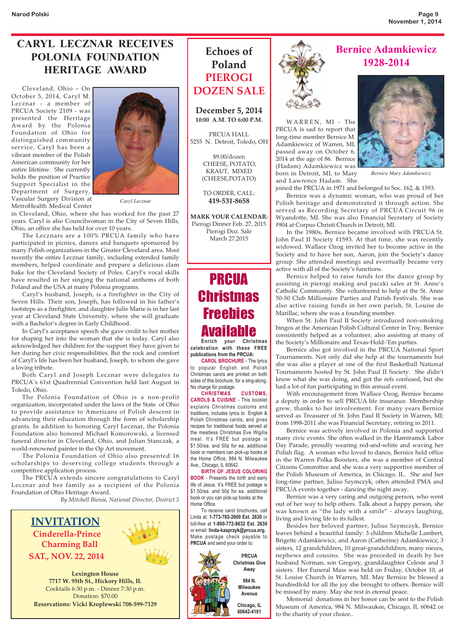#### CARYL LECZNAR RECEIVES POLONIA FOUNDATION HERITAGE AWARD

 Cleveland, Ohio – On October 5, 2014, Caryl M. Lecznar - a member of PRCUA Society 2109 - was presented the Heritage Award by the Polonia Foundation of Ohio for distinguished community service. Caryl has been a vibrant member of the Polish American community for her entire lifetime. She currently holds the position of Practice Support Specialist in the Department of Surgery, Vascular Surgery Division at MetroHealth Medical Center



*Caryl Lecznar*

in Cleveland, Ohio, where she has worked for the past 27 years. Caryl is also Councilwoman in the City of Seven Hills, Ohio, an office she has held for over 10 years.

 The Lecznars are a 100% PRCUA family who have participated in picnics, dances and banquets sponsored by many Polish organizations in the Greater Cleveland area. Most recently the entire Lecznar family, including extended family members, helped coordinate and prepare a delicious clam bake for the Cleveland Society of Poles. Caryl's vocal skills have resulted in her singing the national anthems of both Poland and the USA at many Polonia programs.

 Caryl's husband, Joseph, is a firefighter in the City of Seven Hills. Their son, Joseph, has followed in his father's footsteps as a firefighter, and daughter Julie Marie is in her last year at Cleveland State University, where she will graduate with a Bachelor's degree in Early Childhood.

 In Caryl's acceptance speech she gave credit to her mother for shaping her into the woman that she is today. Caryl also acknowledged her children for the support they have given to her during her civic responsibilities. But the rock and comfort of Caryl's life has been her husband, Joseph, to whom she gave a loving tribute.

 Both Caryl and Joseph Lecznar were delegates to PRCUA's 61st Quadrennial Convention held last August in Toledo, Ohio.

 The Polonia Foundation of Ohio is a non-profit organization, incorporated under the laws of the State of Ohio to provide assistance to Americans of Polish descent in advancing their education through the form of scholarship grants. In addition to honoring Caryl Lecznar, the Polonia Foundation also honored Michael Komorowski, a licensed funeral director in Cleveland, Ohio, and Julian Stanczak, a world-renowned painter in the Op Art movement.

 The Polonia Foundation of Ohio also presented 16 scholarships to deserving college students through a competitive application process.

 The PRCUA extends sincere congratulations to Caryl Lecznar and her family as a recipient of the Polonia Foundation of Ohio Heritage Award.

*By Mitchell Bienia, National Director, District 5*



**Reservations: Vicki Kroplewski 708-599-7129**

### **Echoes of Poland PIEROGI DOZEN SALE**

**December 5, 2014 10:00 A.M. TO 6:00 P.M.**

PRCUA HALL 5255 N. Detroit, Toledo, OH

> \$9.00/dozen CHEESE, POTATO, KRAUT, MIXED (CHEESE,POTATO)

TO ORDER, CALL: **419-531-8658**

**MARK YOUR CALENDAR:** Pierogi Dinner Feb. 27, 2015 Pierogi Doz. Sale March 27,2015

## PRCUA **Christmas Freebies** Available **Enrich your Christmas**

**celebration with these FREE publications from the PRCUA:**

 **CAROL BROCHURE** - The lyrics to popular English and Polish Christmas carols are printed on both sides of this brochure, for a sing-along. No charge for postage.

 **CHRISTMAS CUSTOMS, CAROLS & CUISINE** - This booklet explains Christmas customs and traditions, includes lyrics to English & Polish Christmas carols, and gives recipes for traditional foods served at the meatless Christmas Eve Wigilia meal. It's FREE but postage is \$1.50/ea. and 50¢ for ea. additional book or members can pick-up books at the Home Office, 984 N. Milwaukee Ave., Chicago, IL 60642.

 **BIRTH OF JESUS COLORING BOOK** - Presents the birth and early life of Jesus. It's FREE but postage is \$1.50/ea. and 50¢ for ea. additional book or you can pick-up books at the Home Office.

 To receive carol brochures, call Linda at: **1-773-782-2600 Ext. 2630** or toll-free at **1-800-772-8632 Ext. 2630** or email: **linda-kasprzyk@prcua.org.**  Make postage check payable to **PRCUA** and send your order to:







*Bernice Mary Adamkiewicz*

joined the PRCUA in 1971 and belonged to Soc. 162, & 1593.

Adamkiewicz of Warren, MI, passed away on October 6, 2014 at the age of 86. Bernice (Hadam) Adamkiewicz was born in Detroit, MI, to Mary and Lawrence Hadam. She

 Bernice was a dynamic woman, who was proud of her Polish heritage and demonstrated it through action. She served as Recording Secretary of PRCUA Circuit 96 in Wyandotte, MI. She was also Financial Secretary of Society #904 at Corpus Christi Church in Detroit, MI.

 In the 1980s, Bernice became involved with PRCUA St. John Paul II Society #1593. At that time, she was recently widowed. Wallace Ozog invited her to become active in the Society and to have her son, Aaron, join the Society's dance group. She attended meetings and eventually became very active with all of the Society's functions.

 Bernice helped to raise funds for the dance group by assisting in pierogi making and paczki sales at St. Anne's Catholic Community. She volunteered to help at the St. Anne 50-50 Club Millionaire Parties and Parish Festivals. She was also active raising funds in her own parish, St. Louise de Marillac, where she was a founding member.

 When St. John Paul II Society introduced non-smoking bingos at the American Polish Cultural Center in Troy, Bernice consistently helped as a volunteer, also assisting at many of the Society's Millionaire and Texas-Hold-'Em parties.

 Bernice also got involved in the PRCUA National Sport Tournaments. Not only did she help at the tournaments but she was also a player at one of the first Basketball National Tournaments hosted by St. John Paul II Society. She didn't know what she was doing, and got the refs confused, but she had a lot of fun participating in this annual event.

 With encouragement from Wallace Ozog, Bernice became a deputy in order to sell PRCUA life insurance. Membership grew, thanks to her involvement. For many years Bernice served as Treasurer of St. John Paul II Society in Warren, MI; from 1998-2011 she was Financial Secretary, retiring in 2011.

 Bernice was actively involved in Polonia and supported many civic events. She often walked in the Hamtramck Labor Day Parade, proudly wearing red-and-white and waving her Polish flag. A woman who loved to dance, Bernice held office in the Warren Polka Boosters, she was a member of Central Citizens Committee and she was a very supportive member of the Polish Museum of America, in Chicago, IL. She and her long-time partner, Julius Szymczyk, often attended PMA and PRCUA events together - dancing the night away.

 Bernice was a very caring and outgoing person, who went out of her way to help others. Talk about a happy person, she was known as "the lady with a smile" - always laughing, living and loving life to its fullest.

 Besides her beloved partner, Julius Szymczyk, Bernice leaves behind a beautiful family: 3 children Michelle Lambert, Brigette Adamkiewicz, and Aaron (Catherine) Adamkiewicz; 3 sisters, 12 grandchildren, 10 great-grandchildren, many nieces, nephews and cousins. She was preceded in death by her husband Norman, son Gregory, granddaughter Celeste and 3 sisters. Her Funeral Mass was held on Friday, October 10, at St. Louise Church in Warren, MI. May Bernice be blessed a hundredfold for all the joy she brought to others. Bernice will be missed by many. May she rest in eternal peace.

 Memorial donations in her honor can be sent to the Polish Museum of America, 984 N. Milwaukee, Chicago, IL 60642 or to the charity of your choice..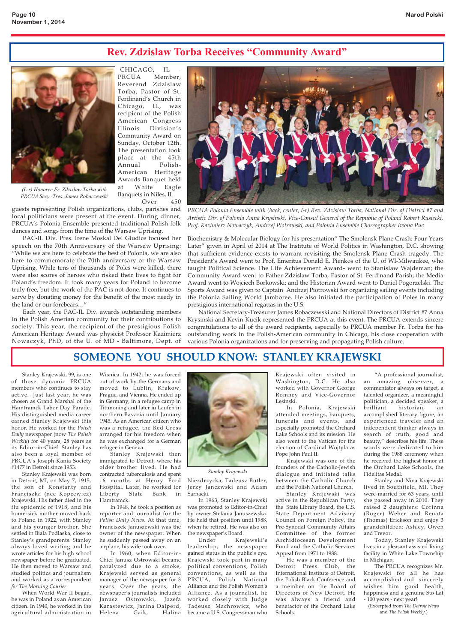#### Rev. Zdzislaw Torba Receives "Community Award"



CHICAGO, IL PRCUA Member, Reverend Zdzislaw Torba, Pastor of St. Ferdinand's Church in Chicago, IL, was recipient of the Polish American Congress Illinois Division's Community Award on Sunday, October 12th. The presentation took place at the 45th Annual Polish-American Heritage Awards Banquet held at White Eagle Banquets in Niles, IL.

*(L-r) Honoree Fr. Zdzislaw Torba with PRCUA Secy.-Tres. James Robaczewski*

Over 450 guests representing Polish organizations, clubs, parishes and local politicians were present at the event. During dinner, PRCUA's Polonia Ensemble presented traditional Polish folk dances and songs from the time of the Warsaw Uprising.

 PAC-IL Div. Pres. Irene Moskal Del Giudice focused her speech on the 70th Anniversary of the Warsaw Uprising: "While we are here to celebrate the best of Polonia, we are also here to commemorate the 70th anniversary or the Warsaw Uprising, While tens of thousands of Poles were killed, there were also scores of heroes who risked their lives to fight for Poland's freedom. It took many years for Poland to become truly free, but the work of the PAC is not done. It continues to serve by donating money for the benefit of the most needy in the land or our forebears…"

 Each year, the PAC-IL Div. awards outstanding members in the Polish Amerian community for their contributions to society. This year, the recipient of the prestigious Polish American Heritage Award was physicist Professor Kazimierz Nowaczyk, PhD, of the U. of MD - Baltimore, Dept. of



*PRCUA Polonia Ensemble with (back, center, l-r) Rev. Zdzislaw Torba, National Dir. of District #7 and Artistic Dir. of Polonia Anna Krysinski, Vice-Consul General of the Republic of Poland Robert Rusiecki, Prof. Kazimierz Nowaczyk, Andrzej Piotrowski, and Polonia Ensemble Choreographer Iwona Puc*

Biochemistry & Molecular Biology for his presentation" The Smolensk Plane Crash: Four Years Later" given in April of 2014 at The Institute of World Politics in Washington, D.C. showing that sufficient evidence exists to warrant revisiting the Smolensk Plane Crash tragedy. The President's Award went to Prof. Emeritus Donald E. Pienkos of the U. of WI-Milwaukee, who taught Political Science. The Life Achievement Award- went to Stanislaw Wajdeman; the Community Award went to Father Zdzislaw Torba, Pastor of St. Ferdinand Parish; the Media Award went to Wojciech Borkowski; and the Historian Award went to Daniel Pogorzelski. The Sports Award was given to Captain Andrzej Piotrowski for organizing sailing events including the Polonia Sailing World Jamboree. He also initiated the participation of Poles in many prestigious international regattas in the U.S.

 National Secretary-Treasurer James Robaczewski and National Directors of District #7 Anna Krysinski and Kevin Kucik represented the PRCUA at this event. The PRCUA extends sincere congratulations to all of the award recipients, especially to PRCUA member Fr. Torba for his outstanding work in the Polish-American community in Chicago, his close cooperation with various Polonia organizations and for preserving and propagating Polish culture.

#### **SOMEONE YOU SHOULD KNOW: STANLEY KRAJEWSKI**

 Stanley Krajewski, 99, is one of those dynamic PRCUA members who continues to stay active. Just last year, he was chosen as Grand Marshal of the Hamtramck Labor Day Parade. His distinguished media career earned Stanley Krajewski this honor. He worked for the *Polish Daily* newspaper (now *The Polish Weekly*) for 40 years, 28 years as its Editor-in-Chief. Stanley has also been a loyal member of PRCUA's Joseph Kania Society #1477 in Detroit since 1953.

 Stanley Krajewski was born in Detroit, MI, on May 7, 1915, the son of Konstanty and Franciszka (nee Kopcewicz) Krajewski. His father died in the flu epidemic of 1918, and his home-sick mother moved back to Poland in 1922, with Stanley and his younger brother. She settled in Biala Podlaska, close to Stanley's grandparents. Stanley always loved writing and he wrote articles for his high school newspaper before he graduated. He then moved to Warsaw and studied politics and journalism and worked as a correspondent *for The Morning Courier*.

 When World War II began, he was in Poland as an American citizen. In 1940, he worked in the agricultural administration in

Wisnica. In 1942, he was forced out of work by the Germans and moved to Lublin, Krakow, Prague, and Vienna. He ended up in Germany, in a refugee camp in Tittmoning and later in Laufen in northern Bavaria until January 1945. As an American citizen who was a refugee, the Red Cross arranged for his freedom when he was exchanged for a German refugee in Geneva.

 Stanley Krajewski then immigrated to Detroit, where his older brother lived. He had contracted tuberculosis and spent 16 months at Henry Ford Hospital. Later, he worked for Liberty State Bank in Hamtramck.

 In 1948, he took a position as reporter and journalist for the *Polish Daily News*. At that time, Franciszek Januszewski was the owner of the newspaper. When he suddenly passed away on an airplane, his wife took over.

 In 1960, when Editor-in-Chief Janusz Ostrowski became paralyzed due to a stroke, Krajewski served as general manager of the newspaper for 3 years. Over the years, the newspaper's journalists included Janusz Ostrowski, Jozefa Karastewicz, Janina Dalperd, Helena Gaik, Halina



*Stanley Krajewski*

Niezdrzycka, Tadeusz Butler, Jerzy Janczwski and Adam Sarnacki.

 In 1963, Stanley Krajewski was promoted to Editor-in-Chief by owner Stefania Januszewska. He held that position until 1988, when he retired. He was also on the newspaper's Board.

Under Krajewsk leadership, the newspaper gained status in the public's eye. Krajewski took part in many political conventions, Polish conventions, as well as the PRCUA, Polish National Alliance and the Polish Women's Alliance. As a journalist, he worked closely with Judge Tadeusz Machrowicz, who became a U.S. Congressman who

Krajewski often visited in Washington, D.C. He also worked with Governor George Romney and Vice-Governor Lesinski.

 In Polonia, Krajewski attended meetings, banquets, funerals and events, and especially promoted the Orchard Lake Schools and its mission. He also went to the Vatican for the election of Cardinal Wojtyla as Pope John Paul II.

 Krajewski was one of the founders of the Catholic-Jewish dialogue and initiated talks between the Catholic Church and the Polish National Church.

 Stanley Krajewski was active in the Republican Party, the State Library Board, the U.S. State Department Advisory Council on Foreign Policy, the Pre-Synodal Community Affairs Committee of the former Archidiocesan Development Fund and the Catholic Services Appeal from 1971 to 1988.

 He was a member of the Detroit Press Club, the International Institute of Detroit, the Polish Black Conference and a member on the Board of Directors of New Detroit. He was always a friend and benefactor of the Orchard Lake Schools.

 "A professional journalist, an amazing observer, a commentator always on target, a talented organizer, a meaningful politician, a decided speaker, a brilliant historian, an accomplished literary figure, an experienced traveler and an independent thinker always in search of truth, good and beauty," describes his life. These words were dedicated to him during the 1988 ceremony when he received the highest honor at the Orchard Lake Schools, the Fidelitas Medal.

 Stanley and Nina Krajewski lived in Southfield, MI. They were married for 63 years, until she passed away in 2010. They raised 2 daughters: Corinna (Roger) Weber and Renata (Thomas) Erickson and enjoy 3 grandchildren: Ashley, Owen and Trevor.

 Today, Stanley Krajewski lives in a pleasant assisted living facility in White Lake Township in Michigan,

 The PRCUA recognizes Mr. Krajewski for all he has accomplished and sincerely wishes him good health, happiness and a genuine Sto Lat - 100 years - next year!

(Excerpted from *The Detroit News* and *The Polish Weekly.*)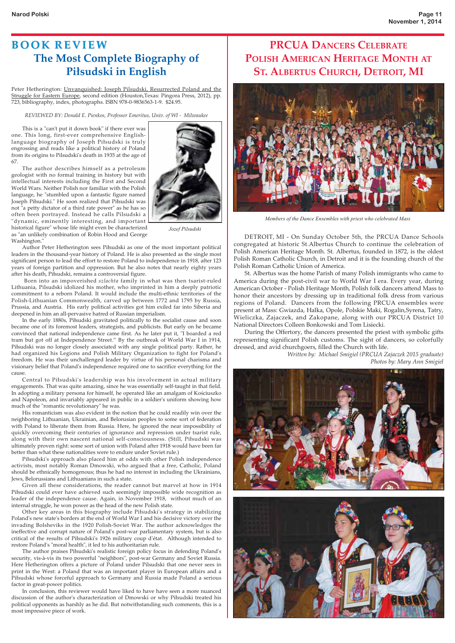#### **BOOK REVIEW The Most Complete Biography of Piłsudski in English**

Peter Hetherington: Unvanquished: Joseph Pilsudski, Resurrected Poland and the Struggle for Eastern Europe, second edition (Houston,Texas: Pingora Press, 2012), pp. 723, bibliography, index, photographs. ISBN 978-0-9836563-1-9. \$24.95.

*REVIEWED BY: Donald E. Pienkos, Professor Emeritus, Univ. of WI - Milwaukee*

 This is a "can't put it down book" if there ever was one. This long, first-ever comprehensive Englishlanguage biography of Joseph Piłsudski is truly engrossing and reads like a political history of Poland from its origins to Pilsudski's death in 1935 at the age of 67.

 The author describes himself as a petroleum geologist with no formal training in history but with intellectual interests including the First and Second World Wars. Neither Polish nor familiar with the Polish language, he "stumbled upon a fantastic figure named Joseph Piłsudski." He soon realized that Piłsudski was not "a petty dictator of a third rate power" as he has so often been portrayed. Instead he calls Pilsudski a "dynamic, eminently interesting, and important historical figure" whose life might even be characterized



as "an unlikely combination of Robin Hood and George Washington."

*Jozef Pilsudski*

 Author Peter Hetherington sees Piłsudski as one of the most important political leaders in the thousand-year history of Poland. He is also presented as the single most significant person to lead the effort to restore Poland to independence in 1918, after 123 years of foreign partition and oppression. But he also notes that nearly eighty years after his death, Piłsudski, remains a controversial figure.

 Born into an impoverished *szlachta* family in what was then tsarist-ruled Lithuania, Pilsudski idolized his mother, who imprinted in him a deeply patriotic commitment to a reborn Poland. It would include the multi-ethnic territories of the Polish-Lithuanian Commonwealth, carved up between 1772 and 1795 by Russia, Prussia, and Austria. His early political activities got him exiled far into Siberia and deepened in him an all-pervasive hatred of Russian imperialism.

 In the early 1880s, Piłsudski gravitated politically to the socialist cause and soon became one of its foremost leaders, strategists, and publicists. But early on he became convinced that national independence came first. As he later put it, "I boarded a red tram but got off at Independence Street." By the outbreak of World War I in 1914, Piłsudski was no longer closely associated with any single political party. Rather, he had organized his Legions and Polish Military Organization to fight for Poland's freedom. He was their unchallenged leader by virtue of his personal charisma and visionary belief that Poland's independence required one to sacrifice everything for the cause.

 Central to Piłsudski's leadership was his involvement in actual military engagements. That was quite amazing, since he was essentially self-taught in that field. In adopting a military persona for himself, he operated like an amalgam of Kościuszko and Napoleon, and invariably appeared in public in a soldier's uniform showing how much of the "romantic revolutionary" he was.

 His romanticism was also evident in the notion that he could readily win over the neighboring Lithuanian, Ukrainian, and Belorusian peoples to some sort of federation with Poland to liberate them from Russia. Here, he ignored the near impossibility of quickly overcoming their centuries of ignorance and repression under tsarist rule, along with their own nascent national self-consciousness. (Still, Piłsudski was ultimately proven right: some sort of union with Poland after 1918 would have been far better than what these nationalities were to endure under Soviet rule.)

 Piłsudski's approach also placed him at odds with other Polish independence activists, most notably Roman Dmowski, who argued that a free, Catholic, Poland should be ethnically homogenous; thus he had no interest in including the Ukrainians, Jews, Belorussians and Lithuanians in such a state.

 Given all these considerations, the reader cannot but marvel at how in 1914 Piłsudski could ever have achieved such seemingly impossible wide recognition as leader of the independence cause. Again, in November 1918, without much of an internal struggle, he won power as the head of the new Polish state.

 Other key areas in this biography include Piłsudski's strategy in stabilizing Poland's new state's borders at the end of World War I and his decisive victory over the invading Bolsheviks in the 1920 Polish-Soviet War. The author acknowledges the ineffective and corrupt nature of Poland's post-war parliamentary system, but is also critical of the results of Piłsudski's 1926 military coup d'état. Although intended to restore Poland's "moral health", it led to his authoritarian rule.

 The author praises Piłsudski's realistic foreign policy focus in defending Poland's security, vis-à-vis its two powerful "neighbors", post-war Germany and Soviet Russia. Here Hetherington offers a picture of Poland under Pilsudski that one never sees in print in the West: a Poland that was an important player in European affairs and a Piłsudski whose forceful approach to Germany and Russia made Poland a serious factor in great-power politics.

 In conclusion, this reviewer would have liked to have have seen a more nuanced discussion of the author's characterization of Dmowski or why Piłsudski treated his political opponents as harshly as he did. But notwithstanding such comments, this is a most impressive piece of work.

#### **PRCUA DANCERS CELEBRATE POLISH AMERICAN HERITAGE MONTH AT ST. ALBERTUS CHURCH, DETROIT, MI**



*Members of the Dance Ensembles with priest who celebrated Mass*

 DETROIT, MI - On Sunday October 5th, the PRCUA Dance Schools congregated at historic St.Albertus Church to continue the celebration of Polish American Heritage Month. St. Albertus, founded in 1872, is the oldest Polish Roman Catholic Church, in Detroit and it is the founding church of the Polish Roman Catholic Union of America.

 St. Albertus was the home Parish of many Polish immigrants who came to America during the post-civil war to World War I era. Every year, during American October - Polish Heritage Month, Polish folk dancers attend Mass to honor their ancestors by dressing up in traditional folk dress from various regions of Poland. Dancers from the following PRCUA ensembles were present at Mass: Gwiazda, Halka, Opole, Polskie Maki, Rogalin,Syrena, Tatry, Wieliczka, Zajaczek, and Zakopane, along with our PRCUA District 10 National Directors Colleen Bonkowski and Tom Lisiecki.

 During the Offertory, the dancers presented the priest with symbolic gifts representing significant Polish customs. The sight of dancers, so colorfully dressed, and avid churchgoers, filled the Church with life.

> *Written by: Michael Smigiel (PRCUA Zajaczek 2015 graduate) Photos by: Mary Ann Smigiel*



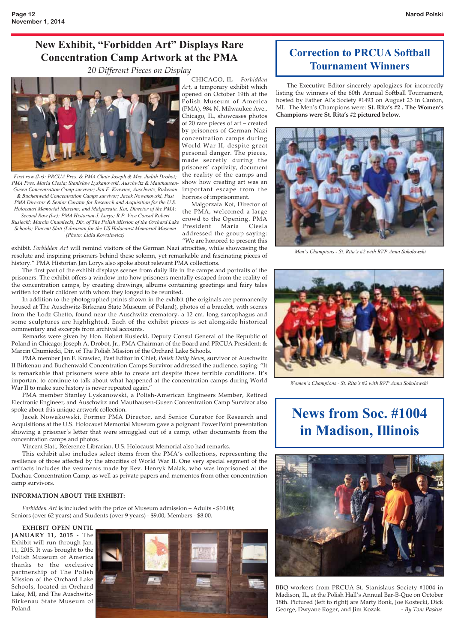#### New Exhibit, "Forbidden Art" Displays Rare Concentration Camp Artwork at the PMA

*20 Different Pieces on Display*



*First row (l-r): PRCUA Pres. & PMA Chair Joseph & Mrs. Judith Drobot; PMA Pres. Maria Ciesla; Stanislaw Lyskanowski, Auschwitz & Mauthausen-Gusen Concentration Camp survivor; Jan F. Krawiec, Auschwitz, Birkenau & Buchenwald Concentration Camps survivor; Jacek Nowakowski, Past PMA Director & Senior Curator for Research and Acquisition for the U.S. Holocaust Memorial Museum; and Malgorzata. Kot, Director of the PMA; Second Row (l-r): PMA Historian J. Lorys; R.P. Vice Consul Robert*

*Rusiecki; Marcin Chumiecki, Dir. of The Polish Mission of the Orchard Lake Schools; Vincent Slatt (Librarian for the US Holocaust Memorial Museum (Photo: Lidia Kowalewicz)* 

exhibit. *Forbidden Art* will remind visitors of the German Nazi atrocities, while showcasing the resolute and inspiring prisoners behind these solemn, yet remarkable and fascinating pieces of history." PMA Historian Jan Lorys also spoke about relevant PMA collections.

 The first part of the exhibit displays scenes from daily life in the camps and portraits of the prisoners. The exhibit offers a window into how prisoners mentally escaped from the reality of the concentration camps, by creating drawings, albums containing greetings and fairy tales written for their children with whom they longed to be reunited.

 In addition to the photographed prints shown in the exhibit (the originals are permanently housed at The Auschwitz-Birkenau State Museum of Poland), photos of a bracelet, with scenes from the Lodz Ghetto, found near the Auschwitz crematory, a 12 cm. long sarcophagus and some sculptures are highlighted. Each of the exhibit pieces is set alongside historical commentary and excerpts from archival accounts.

 Remarks were given by Hon. Robert Rusiecki, Deputy Consul General of the Republic of Poland in Chicago; Joseph A. Drobot, Jr., PMA Chairman of the Board and PRCUA President; & Marcin Chumiecki, Dir. of The Polish Mission of the Orchard Lake Schools.

 PMA member Jan F. Krawiec, Past Editor in Chief, *Polish Daily News*, survivor of Auschwitz II Birkenau and Buchenwald Concentration Camps Survivor addressed the audience, saying: "It is remarkable that prisoners were able to create art despite those terrible conditions. It's important to continue to talk about what happened at the concentration camps during World War II to make sure history is never repeated again."

 PMA member Stanley Lyskanowski, a Polish-American Engineers Member, Retired Electronic Engineer, and Auschwitz and Mauthausen-Gusen Concentration Camp Survivor also spoke about this unique artwork collection.

 Jacek Nowakowski, Former PMA Director, and Senior Curator for Research and Acquisitions at the U.S. Holocaust Memorial Museum gave a poignant PowerPoint presentation showing a prisoner's letter that were smuggled out of a camp, other documents from the concentration camps and photos.

Vincent Slatt, Reference Librarian, U.S. Holocaust Memorial also had remarks.

 This exhibit also includes select items from the PMA's collections, representing the resilience of those affected by the atrocities of World War II. One very special segment of the artifacts includes the vestments made by Rev. Henryk Malak, who was imprisoned at the Dachau Concentration Camp, as well as private papers and mementos from other concentration camp survivors.

#### **INFORMATION ABOUT THE EXHIBIT:**

 *Forbidden Art* is included with the price of Museum admission – Adults - \$10.00; Seniors (over 62 years) and Students (over 9 years) - \$9.00; Members - \$8.00.

#### **EXHIBIT OPEN UNTIL**

**JANUARY 11, 2015** - The Exhibit will run through Jan. 11, 2015. It was brought to the Polish Museum of America thanks to the exclusive partnership of The Polish Mission of the Orchard Lake Schools, located in Orchard Lake, MI, and The Auschwitz-Birkenau State Museum of Poland.



CHICAGO, IL – *Forbidden Art*, a temporary exhibit which opened on October 19th at the Polish Museum of America (PMA), 984 N. Milwaukee Ave., Chicago, IL, showcases photos of 20 rare pieces of art – created by prisoners of German Nazi concentration camps during World War II, despite great personal danger. The pieces, made secretly during the prisoners' captivity, document the reality of the camps and show how creating art was an important escape from the horrors of imprisonment.

Malgorzata Kot, Director of the PMA, welcomed a large crowd to the Opening. PMA President Maria Ciesla addressed the group saying: "We are honored to present this

#### Correction to PRCUA Softball Tournament Winners

 The Executive Editor sincerely apologizes for incorrectly listing the winners of the 60th Annual Softball Tournament, hosted by Father Al's Society #1493 on August 23 in Canton, MI. The Men's Champions were: **St. Rita's #2 . The Women's Champions were St. Rita's #2 pictured below.** 



*Men's Champions - St. Rita's #2 with RVP Anna Sokolowski*



*Women's Champions - St. Rita's #2 with RVP Anna Sokolowski*

## News from Soc. #1004 in Madison, Illinois



BBQ workers from PRCUA St. Stanislaus Society #1004 in Madison, IL, at the Polish Hall's Annual Bar-B-Que on October 18th. Pictured (left to right) are Marty Bonk, Joe Kostecki, Dick George, Dwyane Roger, and Jim Kozak. - By Tom Paskus George, Dwyane Roger, and Jim Kozak.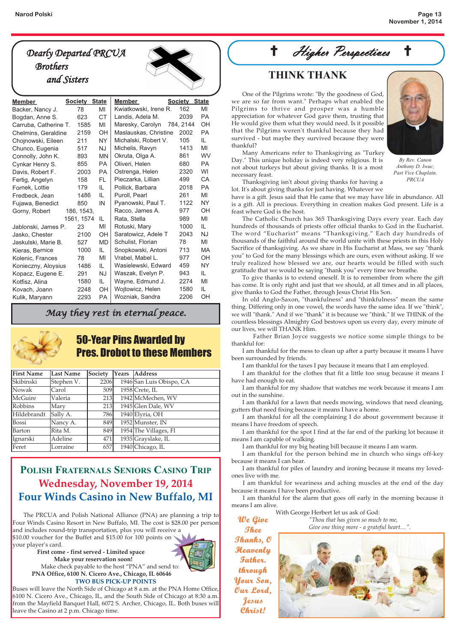## *Dearly Departed PRCUA Brothers*



| <b>Member</b>         | <b>Society State</b> |           | <b>Member</b>         | <b>Society State</b> |           |
|-----------------------|----------------------|-----------|-----------------------|----------------------|-----------|
| Backer, Nancy J.      | 78                   | MI        | Kwiatkowski, Irene R. | 162                  | MI        |
| Bogdan, Anne S.       | 623                  | <b>CT</b> | Landis, Adela M.      | 2039                 | PA        |
| Carruba, Catherine T. | 1585                 | MI        | Maresky, Carolyn      | 784, 2144            | OH        |
| Chelmins, Geraldine   | 2159                 | OH        | Maslauskas, Christine | 2002                 | <b>PA</b> |
| Chojnowski, Eileen    | 211                  | <b>NY</b> | Michalski, Robert V.  | 105                  | IL.       |
| Chunco, Eugenia       | 517                  | <b>NJ</b> | Michelis, Ravyn       | 1413                 | MI        |
| Connolly, John K.     | 893                  | <b>MN</b> | Okruta, Olga A.       | 861                  | WV        |
| Cynkar Henry S.       | 855                  | PA        | Oliveri, Helen        | 680                  | <b>PA</b> |
| Davis, Robert F.      | 2003                 | <b>PA</b> | Ostrenga, Helen       | 2320                 | WI        |
| Fertig, Angelyn       | 158                  | FL.       | Pieczarka, Lillian    | 499                  | CA        |
| Fornek, Lottie        | 179                  | IL        | Pollick, Barbara      | 2018                 | <b>PA</b> |
| Fredbeck, Jean        | 1486                 | IL        | Puroll, Pearl         | 261                  | MI        |
| Fujawa, Benedict      | 850                  | IN        | Pyanowski, Paul T.    | 1122                 | <b>NY</b> |
| Gorny, Robert         | 186, 1543,           |           | Racco, James A.       | 977                  | OH        |
|                       | 1561, 1574           | IL        | Rata, Stella          | 989                  | MI        |
| Jablonski, James P.   | 23                   | MI        | Rotuski, Mary         | 1000                 | IL.       |
| Jasko, Chester        | 2100                 | <b>OH</b> | Saratowicz, Adele T   | 2043                 | <b>NJ</b> |
| Jaskulski, Marie B.   | 527                  | <b>MD</b> | Schulist, Florian     | 78                   | MI        |
| Kieras, Bernice       | 1000                 | IL        | Snopkowski, Antoni    | 713                  | <b>MA</b> |
| Kolenic, Frances      | 78                   | MI        | Vrabel, Mabel L.      | 977                  | ΟH        |
| Konieczny, Aloysius   | 1486                 | IL        | Wasielewski, Edward   | 459                  | NY.       |
| Kopacz, Eugene E.     | 291                  | <b>NJ</b> | Waszak, Evelyn P.     | 943                  | IL        |
| Kotfisz, Alina        | 1580                 | IL        | Wayne, Edmund J.      | 2274                 | MI        |
| Kovach, Joann         | 2248                 | ОH        | Wojtowicz, Helen      | 1580                 | IL        |
| Kulik, Maryann        | 2293                 | PA        | Wozniak, Sandra       | 2206                 | OH        |

#### *May they rest in eternal peace.*



#### 50-Year Pins Awarded by Pres. Drobot to these Members

| <b>First Name</b> | <b>Last Name</b> | Society | Years Address            |
|-------------------|------------------|---------|--------------------------|
| Skibinski         | Stephen V.       | 2206    | 1946 San Luis Obispo, CA |
| Nowak             | Carol            | 509     | 1958 Crete, IL           |
| McGuire           | Valeria          | 213     | 1942 McMechen, WV        |
| Robbins           | Mary             | 213     | 1945 Glen Dale, WV       |
| Hildebrandt       | Sally A.         | 786     | 1940 Elyria, OH          |
| <b>Bossi</b>      | Nancy A.         | 849     | 1952 Munster, IN         |
| <b>Barton</b>     | Rita M.          | 849     | 1954 The Villages, Fl    |
| Ignarski          | Adeline          | 471     | 1935 Grayslake, IL       |
| Feret             | Lorraine         | 657     | 1940 Chicago, IL         |

#### POLISH FRATERNALS SENIORS CASINO TRIP **Wednesday, November 19, 2014 Four Winds Casino in New Buffalo, MI**

 The PRCUA and Polish National Alliance (PNA) are planning a trip to Four Winds Casino Resort in New Buffalo, MI. The cost is \$28.00 per person and includes round-trip transportation, plus you will receive a \$10.00 voucher for the Buffet and \$15.00 for 100 points on

your player's card. **First come - first served - Limited space Make your reservation soon!** Make check payable to the host "PNA" and send to:

leave the Casino at 2 p.m. Chicago time.



**PNA Office, 6100 N. Cicero Ave., Chicago, IL 60646 TWO BUS PICK-UP POINTS** Buses will leave the North Side of Chicago at 8 a.m. at the PNA Home Office, 6100 N. Cicero Ave., Chicago, IL, and the South Side of Chicago at 8:30 a.m.

from the Mayfield Banquet Hall, 6072 S. Archer, Chicago, IL. Both buses will

 $\dag$  Higher Perspectives

 One of the Pilgrims wrote: "By the goodness of God, we are so far from want." Perhaps what enabled the Pilgrims to thrive and prosper was a humble appreciation for whatever God gave them, trusting that He would give them what they would need. Is it possible that the Pilgrims weren't thankful because they had survived - but maybe they survived because they were thankful?

 Many Americans refer to Thanksgiving as "Turkey Day." This unique holiday is indeed very religious. It is not about turkeys but about giving thanks. It is a most necessary feast.



*By Rev. Canon Anthony D. Iwuc, Past Vice Chaplain, PRCUA*

 Thanksgiving isn't about giving thanks for having a lot. It's about giving thanks for just having. Whatever we have is a gift. Jesus said that He came that we may have life in abundance. All

is a gift. All is precious. Everything in creation makes God present. Life is a feast where God is the host.

 The Catholic Church has 365 Thanksgiving Days every year. Each day hundreds of thousands of priests offer official thanks to God in the Eucharist. The word "Eucharist" means "Thanksgiving." Each day hundreds of thousands of the faithful around the world unite with these priests in this Holy Sacrifice of thanksgiving. As we share in His Eucharist at Mass, we say "thank you" to God for the many blessings which are ours, even without asking. If we truly realized how blessed we are, our hearts would be filled with such gratitude that we would be saying "thank you" every time we breathe.

 To give thanks is to extend oneself. It is to remember from where the gift has come. It is only right and just that we should, at all times and in all places, give thanks to God the Father, through Jesus Christ His Son.

 In old Anglo-Saxon, "thankfulness" and "thinkfulness" mean the same thing. Differing only in one vowel, the words have the same idea. If we "think", we will "thank." And if we "thank" it is because we "think." If we THINK of the countless blessings Almighty God bestows upon us every day, every minute of our lives, we will THANK Him.

 Father Brian Joyce suggests we notice some simple things to be thankful for:

 I am thankful for the mess to clean up after a party because it means I have been surrounded by friends.

I am thankful for the taxes I pay because it means that I am employed.

 I am thankful for the clothes that fit a little too snug because it means I have had enough to eat.

 I am thankful for my shadow that watches me work because it means I am out in the sunshine.

 I am thankful for a lawn that needs mowing, windows that need cleaning, gutters that need fixing because it means I have a home.

 I am thankful for all the complaining I do about government because it means I have freedom of speech.

 I am thankful for the spot I find at the far end of the parking lot because it means I am capable of walking.

I am thankful for my big heating bill because it means I am warm.

 I am thankful for the person behind me in church who sings off-key because it means I can hear.

 I am thankful for piles of laundry and ironing because it means my lovedones live with me.

I am thankful for weariness and aching muscles at the end of the day because it means I have been productive.

I am thankful for the alarm that goes off early in the morning because it means I am alive.

> *"Thou that has given so much to me, Give one thing more - a grateful heart…".*

With George Herbert let us ask of God: **We Give We Give Thee**

**Thanks, O Thanks, O Heavenly Heavenly Father. through through Your Son, Your Son, Our Lord, Our Lord, Jesus Christ! Christ!**